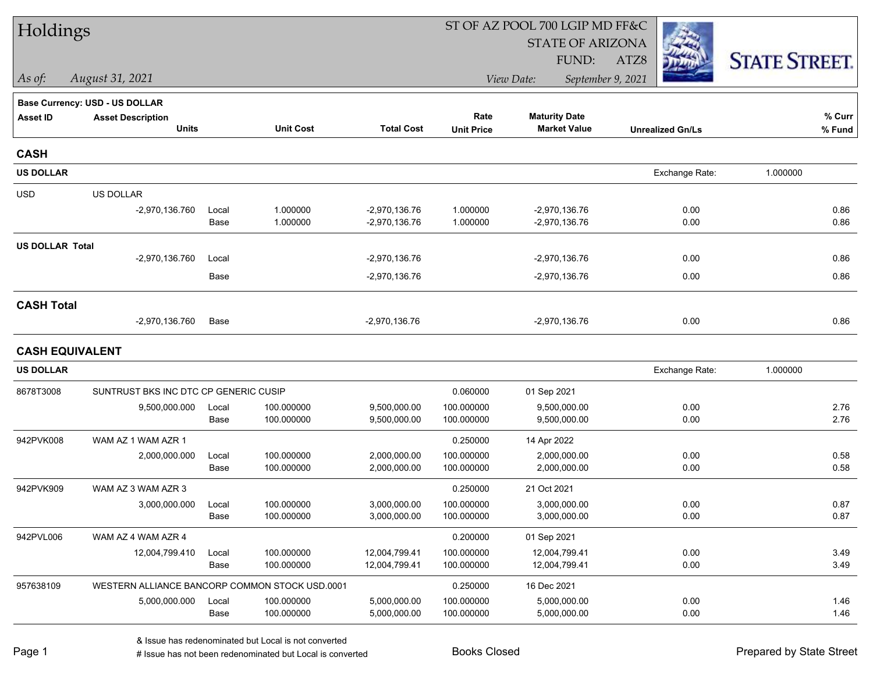| Holdings               |                                                |       |                  |                   |                   | ST OF AZ POOL 700 LGIP MD FF&C  |                         |                      |
|------------------------|------------------------------------------------|-------|------------------|-------------------|-------------------|---------------------------------|-------------------------|----------------------|
|                        |                                                |       |                  |                   |                   | <b>STATE OF ARIZONA</b>         |                         |                      |
|                        |                                                |       |                  |                   |                   | FUND:                           | ATZ8                    | <b>STATE STREET.</b> |
| $\vert$ As of:         | August 31, 2021                                |       |                  |                   |                   | September 9, 2021<br>View Date: |                         |                      |
|                        | Base Currency: USD - US DOLLAR                 |       |                  |                   |                   |                                 |                         |                      |
| <b>Asset ID</b>        | <b>Asset Description</b>                       |       |                  |                   | Rate              | <b>Maturity Date</b>            |                         | % Curr               |
|                        | <b>Units</b>                                   |       | <b>Unit Cost</b> | <b>Total Cost</b> | <b>Unit Price</b> | <b>Market Value</b>             | <b>Unrealized Gn/Ls</b> | $%$ Fund             |
| <b>CASH</b>            |                                                |       |                  |                   |                   |                                 |                         |                      |
| <b>US DOLLAR</b>       |                                                |       |                  |                   |                   |                                 | Exchange Rate:          | 1.000000             |
| <b>USD</b>             | US DOLLAR                                      |       |                  |                   |                   |                                 |                         |                      |
|                        | $-2,970,136.760$                               | Local | 1.000000         | $-2,970,136.76$   | 1.000000          | $-2,970,136.76$                 | 0.00                    | 0.86                 |
|                        |                                                | Base  | 1.000000         | $-2,970,136.76$   | 1.000000          | -2,970,136.76                   | 0.00                    | 0.86                 |
| <b>US DOLLAR Total</b> |                                                |       |                  |                   |                   |                                 |                         |                      |
|                        | $-2,970,136.760$                               | Local |                  | $-2,970,136.76$   |                   | $-2,970,136.76$                 | 0.00                    | 0.86                 |
|                        |                                                | Base  |                  | $-2,970,136.76$   |                   | -2,970,136.76                   | 0.00                    | 0.86                 |
| <b>CASH Total</b>      |                                                |       |                  |                   |                   |                                 |                         |                      |
|                        | -2,970,136.760                                 | Base  |                  | $-2,970,136.76$   |                   | -2,970,136.76                   | 0.00                    | 0.86                 |
| <b>CASH EQUIVALENT</b> |                                                |       |                  |                   |                   |                                 |                         |                      |
| <b>US DOLLAR</b>       |                                                |       |                  |                   |                   |                                 | Exchange Rate:          | 1.000000             |
| 8678T3008              | SUNTRUST BKS INC DTC CP GENERIC CUSIP          |       |                  |                   | 0.060000          | 01 Sep 2021                     |                         |                      |
|                        | 9,500,000.000                                  | Local | 100.000000       | 9,500,000.00      | 100.000000        | 9,500,000.00                    | 0.00                    | 2.76                 |
|                        |                                                | Base  | 100.000000       | 9,500,000.00      | 100.000000        | 9,500,000.00                    | 0.00                    | 2.76                 |
| 942PVK008              | WAM AZ 1 WAM AZR 1                             |       |                  |                   | 0.250000          | 14 Apr 2022                     |                         |                      |
|                        | 2,000,000.000                                  | Local | 100.000000       | 2,000,000.00      | 100.000000        | 2,000,000.00                    | 0.00                    | 0.58                 |
|                        |                                                | Base  | 100.000000       | 2,000,000.00      | 100.000000        | 2,000,000.00                    | 0.00                    | 0.58                 |
| 942PVK909              | WAM AZ 3 WAM AZR 3                             |       |                  |                   | 0.250000          | 21 Oct 2021                     |                         |                      |
|                        | 3,000,000.000                                  | Local | 100.000000       | 3,000,000.00      | 100.000000        | 3,000,000.00                    | 0.00                    | 0.87                 |
|                        |                                                | Base  | 100.000000       | 3,000,000.00      | 100.000000        | 3,000,000.00                    | 0.00                    | 0.87                 |
| 942PVL006              | WAM AZ 4 WAM AZR 4                             |       |                  |                   | 0.200000          | 01 Sep 2021                     |                         |                      |
|                        | 12,004,799.410                                 | Local | 100.000000       | 12,004,799.41     | 100.000000        | 12,004,799.41                   | 0.00                    | 3.49                 |
|                        |                                                | Base  | 100.000000       | 12,004,799.41     | 100.000000        | 12,004,799.41                   | 0.00                    | 3.49                 |
| 957638109              | WESTERN ALLIANCE BANCORP COMMON STOCK USD.0001 |       |                  |                   | 0.250000          | 16 Dec 2021                     |                         |                      |
|                        | 5,000,000.000                                  | Local | 100.000000       | 5,000,000.00      | 100.000000        | 5,000,000.00                    | 0.00                    | 1.46                 |
|                        |                                                | Base  | 100.000000       | 5,000,000.00      | 100.000000        | 5,000,000.00                    | 0.00                    | 1.46                 |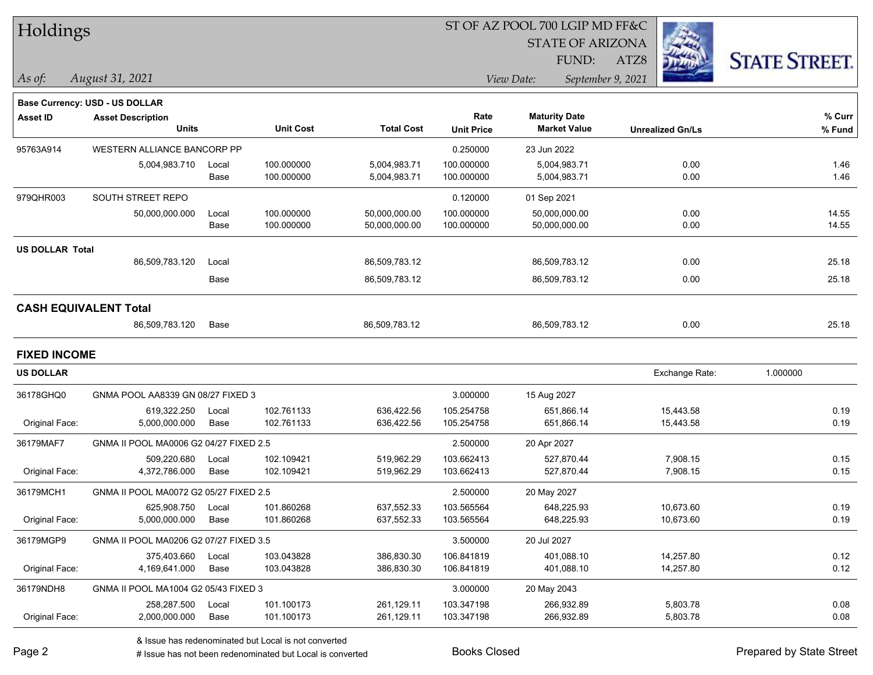| Holdings |
|----------|
|----------|

STATE OF ARIZONA

FUND:

ATZ8



*As of: View Date: September 9, 2021*

| As of: | August 31, 2021 |
|--------|-----------------|
|        |                 |

|                        | Base Currency: USD - US DOLLAR         |       |                  |                   |                   |                      |                         |          |
|------------------------|----------------------------------------|-------|------------------|-------------------|-------------------|----------------------|-------------------------|----------|
| <b>Asset ID</b>        | <b>Asset Description</b>               |       |                  |                   | Rate              | <b>Maturity Date</b> |                         | % Curr   |
|                        | <b>Units</b>                           |       | <b>Unit Cost</b> | <b>Total Cost</b> | <b>Unit Price</b> | <b>Market Value</b>  | <b>Unrealized Gn/Ls</b> | % Fund   |
| 95763A914              | WESTERN ALLIANCE BANCORP PP            |       |                  |                   | 0.250000          | 23 Jun 2022          |                         |          |
|                        | 5,004,983.710                          | Local | 100.000000       | 5,004,983.71      | 100.000000        | 5,004,983.71         | 0.00                    | 1.46     |
|                        |                                        | Base  | 100.000000       | 5,004,983.71      | 100.000000        | 5,004,983.71         | 0.00                    | 1.46     |
| 979QHR003              | SOUTH STREET REPO                      |       |                  |                   | 0.120000          | 01 Sep 2021          |                         |          |
|                        | 50,000,000.000                         | Local | 100.000000       | 50,000,000.00     | 100.000000        | 50,000,000.00        | 0.00                    | 14.55    |
|                        |                                        | Base  | 100.000000       | 50,000,000.00     | 100.000000        | 50,000,000.00        | 0.00                    | 14.55    |
| <b>US DOLLAR Total</b> |                                        |       |                  |                   |                   |                      |                         |          |
|                        | 86,509,783.120                         | Local |                  | 86,509,783.12     |                   | 86,509,783.12        | 0.00                    | 25.18    |
|                        |                                        | Base  |                  | 86,509,783.12     |                   | 86,509,783.12        | 0.00                    | 25.18    |
|                        | <b>CASH EQUIVALENT Total</b>           |       |                  |                   |                   |                      |                         |          |
|                        | 86,509,783.120                         | Base  |                  | 86,509,783.12     |                   | 86,509,783.12        | 0.00                    | 25.18    |
| <b>FIXED INCOME</b>    |                                        |       |                  |                   |                   |                      |                         |          |
| <b>US DOLLAR</b>       |                                        |       |                  |                   |                   |                      | Exchange Rate:          | 1.000000 |
| 36178GHQ0              | GNMA POOL AA8339 GN 08/27 FIXED 3      |       |                  |                   | 3.000000          | 15 Aug 2027          |                         |          |
|                        | 619.322.250                            | Local | 102.761133       | 636,422.56        | 105.254758        | 651,866.14           | 15,443.58               | 0.19     |
| Original Face:         | 5,000,000.000                          | Base  | 102.761133       | 636,422.56        | 105.254758        | 651,866.14           | 15,443.58               | 0.19     |
| 36179MAF7              | GNMA II POOL MA0006 G2 04/27 FIXED 2.5 |       |                  |                   | 2.500000          | 20 Apr 2027          |                         |          |
|                        | 509,220.680                            | Local | 102.109421       | 519,962.29        | 103.662413        | 527,870.44           | 7,908.15                | 0.15     |
| Original Face:         | 4,372,786.000                          | Base  | 102.109421       | 519,962.29        | 103.662413        | 527,870.44           | 7,908.15                | 0.15     |
| 36179MCH1              | GNMA II POOL MA0072 G2 05/27 FIXED 2.5 |       |                  |                   | 2.500000          | 20 May 2027          |                         |          |
|                        | 625,908.750                            | Local | 101.860268       | 637,552.33        | 103.565564        | 648,225.93           | 10,673.60               | 0.19     |
| Original Face:         | 5,000,000.000                          | Base  | 101.860268       | 637,552.33        | 103.565564        | 648,225.93           | 10,673.60               | 0.19     |
| 36179MGP9              | GNMA II POOL MA0206 G2 07/27 FIXED 3.5 |       |                  |                   | 3.500000          | 20 Jul 2027          |                         |          |
|                        | 375.403.660                            | Local | 103.043828       | 386,830.30        | 106.841819        | 401,088.10           | 14,257.80               | 0.12     |
| Original Face:         | 4,169,641.000                          | Base  | 103.043828       | 386,830.30        | 106.841819        | 401,088.10           | 14,257.80               | 0.12     |
| 36179NDH8              | GNMA II POOL MA1004 G2 05/43 FIXED 3   |       |                  |                   | 3.000000          | 20 May 2043          |                         |          |

Original Face: 2,000,000.000 Base 101.100173 261,129.11 103.347198 266,932.89 5,803.78 0.08

258,287.500 Local 101.100173 261,129.11 103.347198 266,932.89 5,803.78 0.08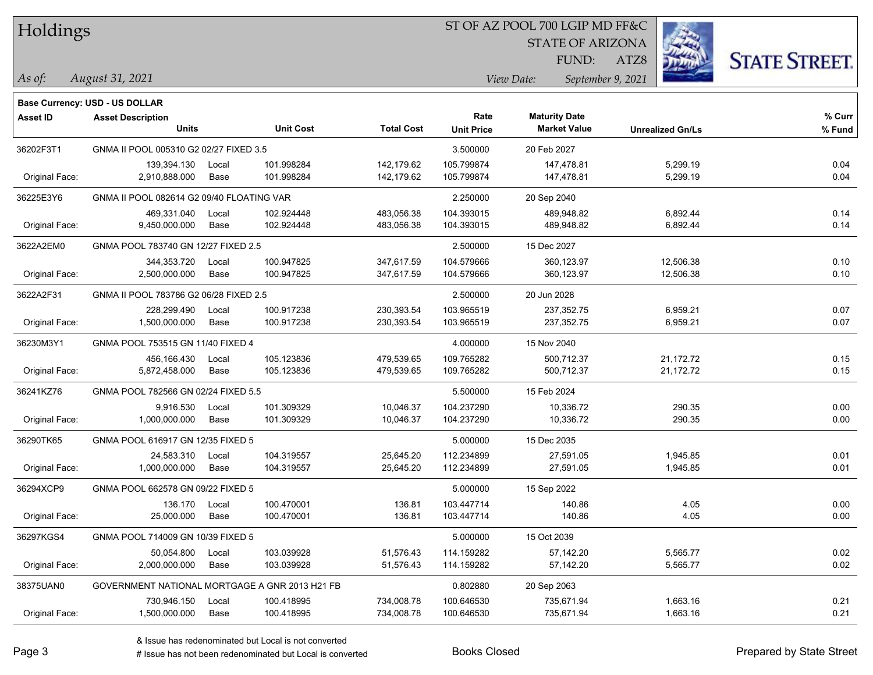### ST OF AZ POOL 700 LGIP MD FF&C

STATE OF ARIZONA

ATZ8



*As of: View Date: September 9, 2021* FUND:

| As of: | August 31, 2021 |  |
|--------|-----------------|--|
|        |                 |  |

|                 | Base Currency: USD - US DOLLAR                 |               |                          |                          |                           |                                             |                         |                  |
|-----------------|------------------------------------------------|---------------|--------------------------|--------------------------|---------------------------|---------------------------------------------|-------------------------|------------------|
| <b>Asset ID</b> | <b>Asset Description</b><br><b>Units</b>       |               | <b>Unit Cost</b>         | <b>Total Cost</b>        | Rate<br><b>Unit Price</b> | <b>Maturity Date</b><br><b>Market Value</b> | <b>Unrealized Gn/Ls</b> | % Curr<br>% Fund |
| 36202F3T1       | GNMA II POOL 005310 G2 02/27 FIXED 3.5         |               |                          |                          | 3.500000                  | 20 Feb 2027                                 |                         |                  |
| Original Face:  | 139,394.130<br>2,910,888.000                   | Local<br>Base | 101.998284<br>101.998284 | 142,179.62<br>142,179.62 | 105.799874<br>105.799874  | 147,478.81<br>147,478.81                    | 5,299.19<br>5,299.19    | 0.04<br>0.04     |
| 36225E3Y6       | GNMA II POOL 082614 G2 09/40 FLOATING VAR      |               |                          |                          | 2.250000                  | 20 Sep 2040                                 |                         |                  |
| Original Face:  | 469,331.040<br>9,450,000.000                   | Local<br>Base | 102.924448<br>102.924448 | 483,056.38<br>483,056.38 | 104.393015<br>104.393015  | 489,948.82<br>489,948.82                    | 6,892.44<br>6,892.44    | 0.14<br>0.14     |
| 3622A2EM0       | GNMA POOL 783740 GN 12/27 FIXED 2.5            |               |                          |                          | 2.500000                  | 15 Dec 2027                                 |                         |                  |
| Original Face:  | 344, 353. 720<br>2,500,000.000                 | Local<br>Base | 100.947825<br>100.947825 | 347,617.59<br>347,617.59 | 104.579666<br>104.579666  | 360,123.97<br>360,123.97                    | 12,506.38<br>12,506.38  | 0.10<br>0.10     |
| 3622A2F31       | GNMA II POOL 783786 G2 06/28 FIXED 2.5         |               |                          | 2.500000                 | 20 Jun 2028               |                                             |                         |                  |
| Original Face:  | 228,299.490<br>1,500,000.000                   | Local<br>Base | 100.917238<br>100.917238 | 230,393.54<br>230,393.54 | 103.965519<br>103.965519  | 237,352.75<br>237,352.75                    | 6,959.21<br>6,959.21    | 0.07<br>0.07     |
| 36230M3Y1       | GNMA POOL 753515 GN 11/40 FIXED 4              |               |                          | 4.000000                 | 15 Nov 2040               |                                             |                         |                  |
| Original Face:  | 456,166.430<br>5,872,458.000                   | Local<br>Base | 105.123836<br>105.123836 | 479,539.65<br>479,539.65 | 109.765282<br>109.765282  | 500,712.37<br>500,712.37                    | 21,172.72<br>21,172.72  | 0.15<br>0.15     |
| 36241KZ76       | GNMA POOL 782566 GN 02/24 FIXED 5.5            |               |                          | 5.500000                 | 15 Feb 2024               |                                             |                         |                  |
| Original Face:  | 9,916.530<br>1,000,000.000                     | Local<br>Base | 101.309329<br>101.309329 | 10,046.37<br>10,046.37   | 104.237290<br>104.237290  | 10,336.72<br>10,336.72                      | 290.35<br>290.35        | 0.00<br>0.00     |
| 36290TK65       | GNMA POOL 616917 GN 12/35 FIXED 5              |               |                          |                          | 5.000000                  | 15 Dec 2035                                 |                         |                  |
| Original Face:  | 24,583.310<br>1,000,000.000                    | Local<br>Base | 104.319557<br>104.319557 | 25,645.20<br>25,645.20   | 112.234899<br>112.234899  | 27,591.05<br>27,591.05                      | 1,945.85<br>1,945.85    | 0.01<br>0.01     |
| 36294XCP9       | GNMA POOL 662578 GN 09/22 FIXED 5              |               |                          |                          | 5.000000                  | 15 Sep 2022                                 |                         |                  |
| Original Face:  | 136.170<br>25,000.000                          | Local<br>Base | 100.470001<br>100.470001 | 136.81<br>136.81         | 103.447714<br>103.447714  | 140.86<br>140.86                            | 4.05<br>4.05            | 0.00<br>0.00     |
| 36297KGS4       | GNMA POOL 714009 GN 10/39 FIXED 5              |               |                          |                          | 5.000000                  | 15 Oct 2039                                 |                         |                  |
| Original Face:  | 50,054.800<br>2,000,000.000                    | Local<br>Base | 103.039928<br>103.039928 | 51,576.43<br>51,576.43   | 114.159282<br>114.159282  | 57,142.20<br>57,142.20                      | 5,565.77<br>5,565.77    | 0.02<br>0.02     |
| 38375UAN0       | GOVERNMENT NATIONAL MORTGAGE A GNR 2013 H21 FB |               |                          |                          | 0.802880                  | 20 Sep 2063                                 |                         |                  |
| Original Face:  | 730,946.150<br>1,500,000.000                   | Local<br>Base | 100.418995<br>100.418995 | 734,008.78<br>734,008.78 | 100.646530<br>100.646530  | 735,671.94<br>735,671.94                    | 1,663.16<br>1,663.16    | 0.21<br>0.21     |
|                 |                                                |               |                          |                          |                           |                                             |                         |                  |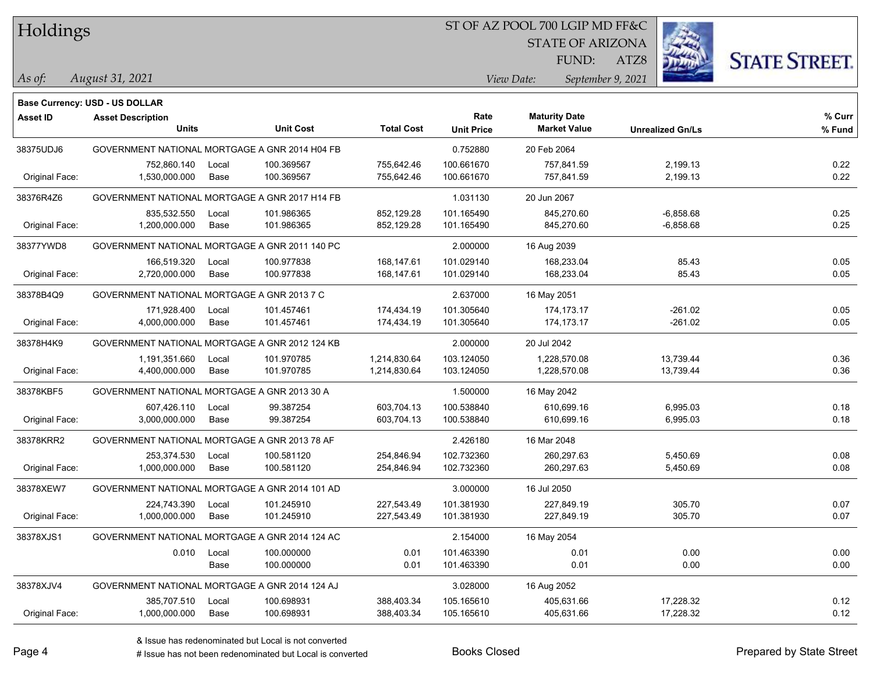### ST OF AZ POOL 700 LGIP MD FF&C

STATE OF ARIZONA

ATZ8



*August 31, 2021 As of: View Date: September 9, 2021* FUND:

|                 | Base Currency: USD - US DOLLAR                 |       |                  |                   |                   |                      |                         |        |
|-----------------|------------------------------------------------|-------|------------------|-------------------|-------------------|----------------------|-------------------------|--------|
| <b>Asset ID</b> | <b>Asset Description</b>                       |       |                  |                   | Rate              | <b>Maturity Date</b> |                         | % Curr |
|                 | <b>Units</b>                                   |       | <b>Unit Cost</b> | <b>Total Cost</b> | <b>Unit Price</b> | <b>Market Value</b>  | <b>Unrealized Gn/Ls</b> | % Fund |
| 38375UDJ6       | GOVERNMENT NATIONAL MORTGAGE A GNR 2014 H04 FB |       |                  |                   | 0.752880          | 20 Feb 2064          |                         |        |
|                 | 752,860.140                                    | Local | 100.369567       | 755,642.46        | 100.661670        | 757,841.59           | 2,199.13                | 0.22   |
| Original Face:  | 1,530,000.000                                  | Base  | 100.369567       | 755,642.46        | 100.661670        | 757,841.59           | 2,199.13                | 0.22   |
| 38376R4Z6       | GOVERNMENT NATIONAL MORTGAGE A GNR 2017 H14 FB |       |                  |                   | 1.031130          | 20 Jun 2067          |                         |        |
|                 | 835,532.550                                    | Local | 101.986365       | 852,129.28        | 101.165490        | 845,270.60           | $-6,858.68$             | 0.25   |
| Original Face:  | 1,200,000.000                                  | Base  | 101.986365       | 852,129.28        | 101.165490        | 845,270.60           | $-6,858.68$             | 0.25   |
| 38377YWD8       | GOVERNMENT NATIONAL MORTGAGE A GNR 2011 140 PC |       |                  |                   | 2.000000          | 16 Aug 2039          |                         |        |
|                 | 166,519.320                                    | Local | 100.977838       | 168,147.61        | 101.029140        | 168,233.04           | 85.43                   | 0.05   |
| Original Face:  | 2,720,000.000                                  | Base  | 100.977838       | 168,147.61        | 101.029140        | 168,233.04           | 85.43                   | 0.05   |
| 38378B4Q9       | GOVERNMENT NATIONAL MORTGAGE A GNR 2013 7 C    |       |                  |                   | 2.637000          | 16 May 2051          |                         |        |
|                 | 171,928.400                                    | Local | 101.457461       | 174,434.19        | 101.305640        | 174, 173. 17         | $-261.02$               | 0.05   |
| Original Face:  | 4,000,000.000                                  | Base  | 101.457461       | 174,434.19        | 101.305640        | 174, 173. 17         | $-261.02$               | 0.05   |
| 38378H4K9       | GOVERNMENT NATIONAL MORTGAGE A GNR 2012 124 KB |       |                  |                   | 2.000000          | 20 Jul 2042          |                         |        |
|                 | 1,191,351.660                                  | Local | 101.970785       | 1,214,830.64      | 103.124050        | 1,228,570.08         | 13,739.44               | 0.36   |
| Original Face:  | 4,400,000.000                                  | Base  | 101.970785       | 1,214,830.64      | 103.124050        | 1,228,570.08         | 13,739.44               | 0.36   |
| 38378KBF5       | GOVERNMENT NATIONAL MORTGAGE A GNR 2013 30 A   |       |                  |                   | 1.500000          | 16 May 2042          |                         |        |
|                 | 607,426.110                                    | Local | 99.387254        | 603,704.13        | 100.538840        | 610,699.16           | 6,995.03                | 0.18   |
| Original Face:  | 3,000,000.000                                  | Base  | 99.387254        | 603,704.13        | 100.538840        | 610,699.16           | 6,995.03                | 0.18   |
| 38378KRR2       | GOVERNMENT NATIONAL MORTGAGE A GNR 2013 78 AF  |       |                  |                   | 2.426180          | 16 Mar 2048          |                         |        |
|                 | 253,374.530                                    | Local | 100.581120       | 254,846.94        | 102.732360        | 260,297.63           | 5,450.69                | 0.08   |
| Original Face:  | 1,000,000.000                                  | Base  | 100.581120       | 254,846.94        | 102.732360        | 260,297.63           | 5,450.69                | 0.08   |
| 38378XEW7       | GOVERNMENT NATIONAL MORTGAGE A GNR 2014 101 AD |       |                  |                   | 3.000000          | 16 Jul 2050          |                         |        |
|                 | 224,743.390                                    | Local | 101.245910       | 227,543.49        | 101.381930        | 227,849.19           | 305.70                  | 0.07   |
| Original Face:  | 1,000,000.000                                  | Base  | 101.245910       | 227,543.49        | 101.381930        | 227,849.19           | 305.70                  | 0.07   |
| 38378XJS1       | GOVERNMENT NATIONAL MORTGAGE A GNR 2014 124 AC |       |                  |                   | 2.154000          | 16 May 2054          |                         |        |
|                 | 0.010                                          | Local | 100.000000       | 0.01              | 101.463390        | 0.01                 | 0.00                    | 0.00   |
|                 |                                                | Base  | 100.000000       | 0.01              | 101.463390        | 0.01                 | 0.00                    | 0.00   |
| 38378XJV4       | GOVERNMENT NATIONAL MORTGAGE A GNR 2014 124 AJ |       |                  |                   | 3.028000          | 16 Aug 2052          |                         |        |
|                 | 385,707.510                                    | Local | 100.698931       | 388,403.34        | 105.165610        | 405,631.66           | 17,228.32               | 0.12   |
| Original Face:  | 1,000,000.000                                  | Base  | 100.698931       | 388,403.34        | 105.165610        | 405,631.66           | 17,228.32               | 0.12   |
|                 |                                                |       |                  |                   |                   |                      |                         |        |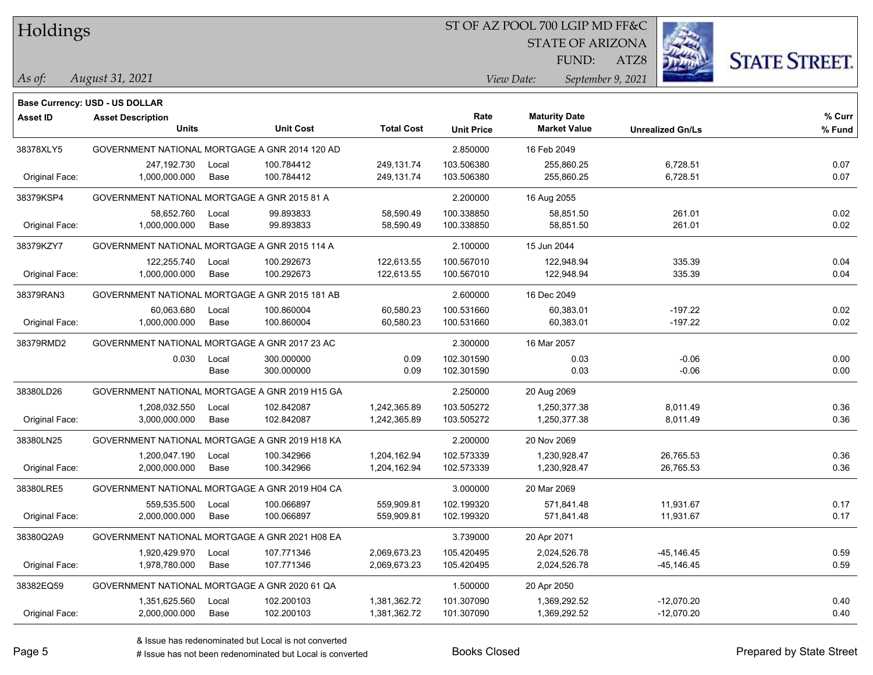### ST OF AZ POOL 700 LGIP MD FF&C

STATE OF ARIZONA

ATZ8



FUND:

*August 31, 2021 As of: View Date: September 9, 2021*

| <b>Asset Description</b> |              |            |                                                                                                                                                                                                                                                                                                                                                                                                                                                                                                                                 | Rate              | <b>Maturity Date</b> |                     | % Curr                                                           |
|--------------------------|--------------|------------|---------------------------------------------------------------------------------------------------------------------------------------------------------------------------------------------------------------------------------------------------------------------------------------------------------------------------------------------------------------------------------------------------------------------------------------------------------------------------------------------------------------------------------|-------------------|----------------------|---------------------|------------------------------------------------------------------|
|                          |              |            |                                                                                                                                                                                                                                                                                                                                                                                                                                                                                                                                 |                   |                      |                     | % Fund                                                           |
|                          |              |            |                                                                                                                                                                                                                                                                                                                                                                                                                                                                                                                                 | 2.850000          | 16 Feb 2049          |                     |                                                                  |
| 247,192.730              | Local        | 100.784412 | 249,131.74                                                                                                                                                                                                                                                                                                                                                                                                                                                                                                                      | 103.506380        | 255,860.25           | 6,728.51            | 0.07                                                             |
| 1,000,000.000            | Base         | 100.784412 | 249,131.74                                                                                                                                                                                                                                                                                                                                                                                                                                                                                                                      | 103.506380        | 255,860.25           | 6,728.51            | 0.07                                                             |
|                          |              |            |                                                                                                                                                                                                                                                                                                                                                                                                                                                                                                                                 | 2.200000          | 16 Aug 2055          |                     |                                                                  |
| 58,652.760               | Local        | 99.893833  | 58,590.49                                                                                                                                                                                                                                                                                                                                                                                                                                                                                                                       | 100.338850        | 58,851.50            | 261.01              | 0.02                                                             |
| 1,000,000.000            | Base         | 99.893833  | 58,590.49                                                                                                                                                                                                                                                                                                                                                                                                                                                                                                                       | 100.338850        | 58,851.50            | 261.01              | 0.02                                                             |
|                          |              |            |                                                                                                                                                                                                                                                                                                                                                                                                                                                                                                                                 | 2.100000          | 15 Jun 2044          |                     |                                                                  |
| 122,255.740              | Local        | 100.292673 | 122,613.55                                                                                                                                                                                                                                                                                                                                                                                                                                                                                                                      | 100.567010        | 122,948.94           | 335.39              | 0.04                                                             |
| 1,000,000.000            | Base         | 100.292673 | 122,613.55                                                                                                                                                                                                                                                                                                                                                                                                                                                                                                                      | 100.567010        | 122,948.94           | 335.39              | 0.04                                                             |
|                          |              |            |                                                                                                                                                                                                                                                                                                                                                                                                                                                                                                                                 | 2.600000          | 16 Dec 2049          |                     |                                                                  |
| 60,063.680               | Local        | 100.860004 | 60,580.23                                                                                                                                                                                                                                                                                                                                                                                                                                                                                                                       | 100.531660        | 60,383.01            | $-197.22$           | 0.02                                                             |
| 1,000,000.000            | Base         | 100.860004 | 60,580.23                                                                                                                                                                                                                                                                                                                                                                                                                                                                                                                       | 100.531660        | 60,383.01            | $-197.22$           | 0.02                                                             |
|                          |              |            |                                                                                                                                                                                                                                                                                                                                                                                                                                                                                                                                 | 2.300000          | 16 Mar 2057          |                     |                                                                  |
| 0.030                    | Local        | 300.000000 | 0.09                                                                                                                                                                                                                                                                                                                                                                                                                                                                                                                            | 102.301590        | 0.03                 | $-0.06$             | 0.00                                                             |
|                          | Base         | 300.000000 | 0.09                                                                                                                                                                                                                                                                                                                                                                                                                                                                                                                            | 102.301590        | 0.03                 | $-0.06$             | 0.00                                                             |
|                          |              |            |                                                                                                                                                                                                                                                                                                                                                                                                                                                                                                                                 | 2.250000          | 20 Aug 2069          |                     |                                                                  |
| 1,208,032.550            | Local        | 102.842087 | 1,242,365.89                                                                                                                                                                                                                                                                                                                                                                                                                                                                                                                    | 103.505272        | 1,250,377.38         | 8,011.49            | 0.36                                                             |
| 3,000,000.000            | Base         | 102.842087 | 1,242,365.89                                                                                                                                                                                                                                                                                                                                                                                                                                                                                                                    | 103.505272        | 1,250,377.38         | 8,011.49            | 0.36                                                             |
|                          |              |            |                                                                                                                                                                                                                                                                                                                                                                                                                                                                                                                                 | 2.200000          | 20 Nov 2069          |                     |                                                                  |
| 1,200,047.190            | Local        | 100.342966 | 1,204,162.94                                                                                                                                                                                                                                                                                                                                                                                                                                                                                                                    | 102.573339        | 1,230,928.47         | 26,765.53           | 0.36                                                             |
| 2,000,000.000            | Base         | 100.342966 | 1,204,162.94                                                                                                                                                                                                                                                                                                                                                                                                                                                                                                                    | 102.573339        | 1,230,928.47         | 26,765.53           | 0.36                                                             |
|                          |              |            |                                                                                                                                                                                                                                                                                                                                                                                                                                                                                                                                 | 3.000000          | 20 Mar 2069          |                     |                                                                  |
| 559,535.500              | Local        | 100.066897 | 559,909.81                                                                                                                                                                                                                                                                                                                                                                                                                                                                                                                      | 102.199320        | 571,841.48           | 11,931.67           | 0.17                                                             |
| 2,000,000.000            | Base         | 100.066897 | 559,909.81                                                                                                                                                                                                                                                                                                                                                                                                                                                                                                                      | 102.199320        | 571,841.48           | 11,931.67           | 0.17                                                             |
|                          |              |            |                                                                                                                                                                                                                                                                                                                                                                                                                                                                                                                                 | 3.739000          | 20 Apr 2071          |                     |                                                                  |
| 1,920,429.970            | Local        | 107.771346 | 2,069,673.23                                                                                                                                                                                                                                                                                                                                                                                                                                                                                                                    | 105.420495        | 2,024,526.78         | $-45, 146.45$       | 0.59                                                             |
| 1,978,780.000            | Base         | 107.771346 | 2,069,673.23                                                                                                                                                                                                                                                                                                                                                                                                                                                                                                                    | 105.420495        | 2,024,526.78         | -45,146.45          | 0.59                                                             |
|                          |              |            |                                                                                                                                                                                                                                                                                                                                                                                                                                                                                                                                 | 1.500000          | 20 Apr 2050          |                     |                                                                  |
| 1,351,625.560            | Local        | 102.200103 | 1,381,362.72                                                                                                                                                                                                                                                                                                                                                                                                                                                                                                                    | 101.307090        | 1,369,292.52         | -12,070.20          | 0.40                                                             |
| 2,000,000.000            | Base         | 102.200103 | 1,381,362.72                                                                                                                                                                                                                                                                                                                                                                                                                                                                                                                    | 101.307090        | 1,369,292.52         | $-12,070.20$        | 0.40                                                             |
|                          | <b>Units</b> |            | <b>Unit Cost</b><br>GOVERNMENT NATIONAL MORTGAGE A GNR 2014 120 AD<br>GOVERNMENT NATIONAL MORTGAGE A GNR 2015 81 A<br>GOVERNMENT NATIONAL MORTGAGE A GNR 2015 114 A<br>GOVERNMENT NATIONAL MORTGAGE A GNR 2015 181 AB<br>GOVERNMENT NATIONAL MORTGAGE A GNR 2017 23 AC<br>GOVERNMENT NATIONAL MORTGAGE A GNR 2019 H15 GA<br>GOVERNMENT NATIONAL MORTGAGE A GNR 2019 H18 KA<br>GOVERNMENT NATIONAL MORTGAGE A GNR 2019 H04 CA<br>GOVERNMENT NATIONAL MORTGAGE A GNR 2021 H08 EA<br>GOVERNMENT NATIONAL MORTGAGE A GNR 2020 61 QA | <b>Total Cost</b> | <b>Unit Price</b>    | <b>Market Value</b> | <b>Base Currency: USD - US DOLLAR</b><br><b>Unrealized Gn/Ls</b> |

# Issue has not been redenominated but Local is converted Books Closed Prepared by State Street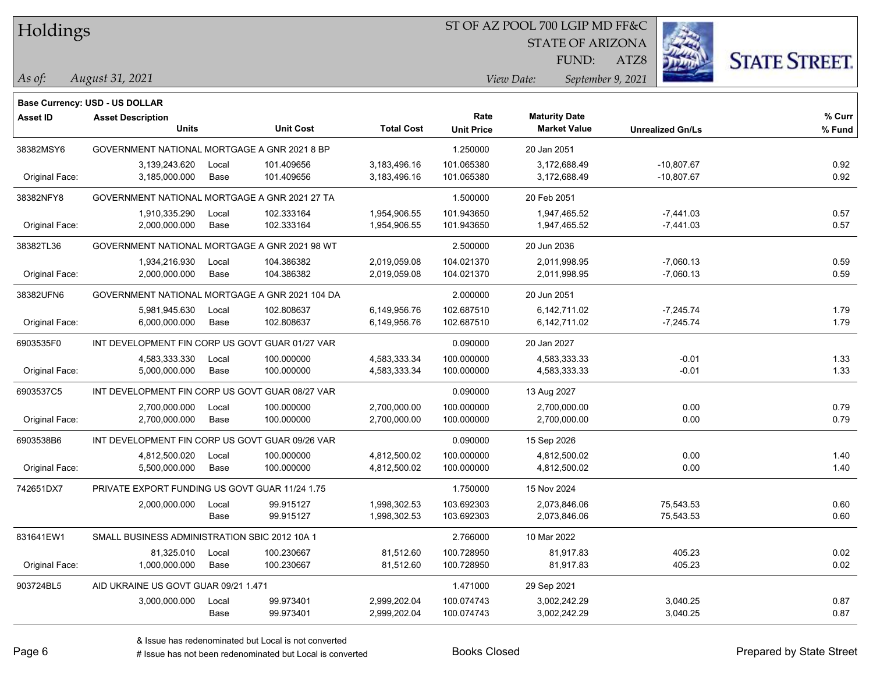#### ST OF AZ POOL 700 LGIP MD FF&C

STATE OF ARIZONA

ATZ8



FUND:

#### *August 31, 2021 As of: View Date: September 9, 2021*

|                 | <b>Base Currency: USD - US DOLLAR</b>           |       |                  |                   |                   |                      |                         |        |
|-----------------|-------------------------------------------------|-------|------------------|-------------------|-------------------|----------------------|-------------------------|--------|
| <b>Asset ID</b> | <b>Asset Description</b>                        |       |                  |                   | Rate              | <b>Maturity Date</b> |                         | % Curr |
|                 | <b>Units</b>                                    |       | <b>Unit Cost</b> | <b>Total Cost</b> | <b>Unit Price</b> | <b>Market Value</b>  | <b>Unrealized Gn/Ls</b> | % Fund |
| 38382MSY6       | GOVERNMENT NATIONAL MORTGAGE A GNR 2021 8 BP    |       |                  |                   | 1.250000          | 20 Jan 2051          |                         |        |
|                 | 3,139,243.620                                   | Local | 101.409656       | 3,183,496.16      | 101.065380        | 3,172,688.49         | $-10,807.67$            | 0.92   |
| Original Face:  | 3,185,000.000                                   | Base  | 101.409656       | 3,183,496.16      | 101.065380        | 3,172,688.49         | $-10,807.67$            | 0.92   |
| 38382NFY8       | GOVERNMENT NATIONAL MORTGAGE A GNR 2021 27 TA   |       |                  |                   | 1.500000          | 20 Feb 2051          |                         |        |
|                 | 1,910,335.290                                   | Local | 102.333164       | 1,954,906.55      | 101.943650        | 1,947,465.52         | $-7,441.03$             | 0.57   |
| Original Face:  | 2,000,000.000                                   | Base  | 102.333164       | 1,954,906.55      | 101.943650        | 1,947,465.52         | $-7,441.03$             | 0.57   |
| 38382TL36       | GOVERNMENT NATIONAL MORTGAGE A GNR 2021 98 WT   |       |                  |                   | 2.500000          | 20 Jun 2036          |                         |        |
|                 | 1,934,216.930                                   | Local | 104.386382       | 2,019,059.08      | 104.021370        | 2,011,998.95         | $-7,060.13$             | 0.59   |
| Original Face:  | 2,000,000.000                                   | Base  | 104.386382       | 2,019,059.08      | 104.021370        | 2,011,998.95         | $-7,060.13$             | 0.59   |
| 38382UFN6       | GOVERNMENT NATIONAL MORTGAGE A GNR 2021 104 DA  |       |                  | 2.000000          | 20 Jun 2051       |                      |                         |        |
|                 | 5,981,945.630                                   | Local | 102.808637       | 6,149,956.76      | 102.687510        | 6,142,711.02         | $-7,245.74$             | 1.79   |
| Original Face:  | 6,000,000.000                                   | Base  | 102.808637       | 6,149,956.76      | 102.687510        | 6,142,711.02         | $-7,245.74$             | 1.79   |
| 6903535F0       | INT DEVELOPMENT FIN CORP US GOVT GUAR 01/27 VAR |       |                  |                   | 0.090000          | 20 Jan 2027          |                         |        |
|                 | 4,583,333.330                                   | Local | 100.000000       | 4,583,333.34      | 100.000000        | 4,583,333.33         | $-0.01$                 | 1.33   |
| Original Face:  | 5,000,000.000                                   | Base  | 100.000000       | 4,583,333.34      | 100.000000        | 4,583,333.33         | $-0.01$                 | 1.33   |
| 6903537C5       | INT DEVELOPMENT FIN CORP US GOVT GUAR 08/27 VAR |       |                  |                   | 0.090000          | 13 Aug 2027          |                         |        |
|                 | 2,700,000.000                                   | Local | 100.000000       | 2,700,000.00      | 100.000000        | 2,700,000.00         | 0.00                    | 0.79   |
| Original Face:  | 2,700,000.000                                   | Base  | 100.000000       | 2,700,000.00      | 100.000000        | 2,700,000.00         | 0.00                    | 0.79   |
| 6903538B6       | INT DEVELOPMENT FIN CORP US GOVT GUAR 09/26 VAR |       |                  |                   | 0.090000          | 15 Sep 2026          |                         |        |
|                 | 4,812,500.020                                   | Local | 100.000000       | 4,812,500.02      | 100.000000        | 4,812,500.02         | 0.00                    | 1.40   |
| Original Face:  | 5,500,000.000                                   | Base  | 100.000000       | 4,812,500.02      | 100.000000        | 4,812,500.02         | 0.00                    | 1.40   |
| 742651DX7       | PRIVATE EXPORT FUNDING US GOVT GUAR 11/24 1.75  |       |                  |                   | 1.750000          | 15 Nov 2024          |                         |        |
|                 | 2,000,000.000                                   | Local | 99.915127        | 1,998,302.53      | 103.692303        | 2,073,846.06         | 75,543.53               | 0.60   |
|                 |                                                 | Base  | 99.915127        | 1,998,302.53      | 103.692303        | 2,073,846.06         | 75,543.53               | 0.60   |
| 831641EW1       | SMALL BUSINESS ADMINISTRATION SBIC 2012 10A 1   |       |                  |                   | 2.766000          | 10 Mar 2022          |                         |        |
|                 | 81,325.010                                      | Local | 100.230667       | 81,512.60         | 100.728950        | 81,917.83            | 405.23                  | 0.02   |
| Original Face:  | 1,000,000.000                                   | Base  | 100.230667       | 81,512.60         | 100.728950        | 81,917.83            | 405.23                  | 0.02   |
| 903724BL5       | AID UKRAINE US GOVT GUAR 09/21 1.471            |       |                  |                   | 1.471000          | 29 Sep 2021          |                         |        |
|                 | 3,000,000.000                                   | Local | 99.973401        | 2,999,202.04      | 100.074743        | 3,002,242.29         | 3,040.25                | 0.87   |
|                 |                                                 | Base  | 99.973401        | 2,999,202.04      | 100.074743        | 3,002,242.29         | 3,040.25                | 0.87   |

# Issue has not been redenominated but Local is converted Books Closed Prepared by State Street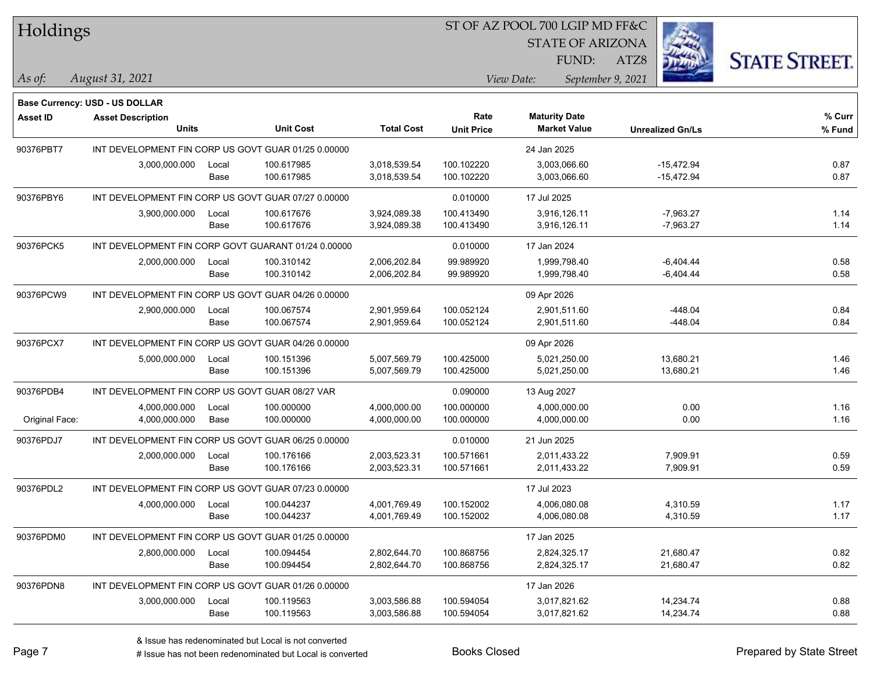### ST OF AZ POOL 700 LGIP MD FF&C

STATE OF ARIZONA

ATZ8



*August 31, 2021 As of: View Date: September 9, 2021* FUND:

| Base Currency: USD - US DOLLAR |              |            |                                                                                                                                                                                                                                                                                                                                                                                                                                                                                                                                                                                                                              |                                                   |                          |                                                     |                                            |
|--------------------------------|--------------|------------|------------------------------------------------------------------------------------------------------------------------------------------------------------------------------------------------------------------------------------------------------------------------------------------------------------------------------------------------------------------------------------------------------------------------------------------------------------------------------------------------------------------------------------------------------------------------------------------------------------------------------|---------------------------------------------------|--------------------------|-----------------------------------------------------|--------------------------------------------|
| <b>Asset Description</b>       |              |            |                                                                                                                                                                                                                                                                                                                                                                                                                                                                                                                                                                                                                              | Rate                                              | <b>Maturity Date</b>     |                                                     | % Curr                                     |
|                                |              |            |                                                                                                                                                                                                                                                                                                                                                                                                                                                                                                                                                                                                                              | <b>Unit Price</b>                                 |                          | <b>Unrealized Gn/Ls</b>                             | % Fund                                     |
|                                |              |            |                                                                                                                                                                                                                                                                                                                                                                                                                                                                                                                                                                                                                              |                                                   | 24 Jan 2025              |                                                     |                                            |
| 3,000,000.000                  | Local        | 100.617985 | 3,018,539.54                                                                                                                                                                                                                                                                                                                                                                                                                                                                                                                                                                                                                 | 100.102220                                        | 3,003,066.60             | $-15,472.94$                                        | 0.87                                       |
|                                | Base         | 100.617985 | 3,018,539.54                                                                                                                                                                                                                                                                                                                                                                                                                                                                                                                                                                                                                 | 100.102220                                        | 3,003,066.60             | $-15,472.94$                                        | 0.87                                       |
|                                |              |            |                                                                                                                                                                                                                                                                                                                                                                                                                                                                                                                                                                                                                              | 0.010000                                          | 17 Jul 2025              |                                                     |                                            |
| 3,900,000.000                  | Local        | 100.617676 | 3,924,089.38                                                                                                                                                                                                                                                                                                                                                                                                                                                                                                                                                                                                                 | 100.413490                                        | 3,916,126.11             | $-7,963.27$                                         | 1.14                                       |
|                                | Base         | 100.617676 | 3,924,089.38                                                                                                                                                                                                                                                                                                                                                                                                                                                                                                                                                                                                                 | 100.413490                                        | 3,916,126.11             | $-7,963.27$                                         | 1.14                                       |
|                                |              |            |                                                                                                                                                                                                                                                                                                                                                                                                                                                                                                                                                                                                                              | 0.010000                                          | 17 Jan 2024              |                                                     |                                            |
| 2,000,000.000                  | Local        | 100.310142 | 2,006,202.84                                                                                                                                                                                                                                                                                                                                                                                                                                                                                                                                                                                                                 | 99.989920                                         | 1,999,798.40             | $-6,404.44$                                         | 0.58                                       |
|                                | Base         | 100.310142 | 2,006,202.84                                                                                                                                                                                                                                                                                                                                                                                                                                                                                                                                                                                                                 | 99.989920                                         | 1,999,798.40             | $-6,404.44$                                         | 0.58                                       |
|                                |              |            |                                                                                                                                                                                                                                                                                                                                                                                                                                                                                                                                                                                                                              | 09 Apr 2026                                       |                          |                                                     |                                            |
| 2,900,000.000                  | Local        | 100.067574 | 2,901,959.64                                                                                                                                                                                                                                                                                                                                                                                                                                                                                                                                                                                                                 | 100.052124                                        | 2,901,511.60             | $-448.04$                                           | 0.84                                       |
|                                | Base         | 100.067574 | 2,901,959.64                                                                                                                                                                                                                                                                                                                                                                                                                                                                                                                                                                                                                 | 100.052124                                        | 2,901,511.60             | $-448.04$                                           | 0.84                                       |
|                                |              |            |                                                                                                                                                                                                                                                                                                                                                                                                                                                                                                                                                                                                                              |                                                   | 09 Apr 2026              |                                                     |                                            |
| 5,000,000.000                  | Local        | 100.151396 | 5,007,569.79                                                                                                                                                                                                                                                                                                                                                                                                                                                                                                                                                                                                                 | 100.425000                                        | 5,021,250.00             | 13,680.21                                           | 1.46                                       |
|                                | Base         |            |                                                                                                                                                                                                                                                                                                                                                                                                                                                                                                                                                                                                                              | 100.425000                                        |                          |                                                     | 1.46                                       |
|                                |              |            |                                                                                                                                                                                                                                                                                                                                                                                                                                                                                                                                                                                                                              | 0.090000                                          | 13 Aug 2027              |                                                     |                                            |
| 4,000,000.000                  | Local        | 100.000000 | 4,000,000.00                                                                                                                                                                                                                                                                                                                                                                                                                                                                                                                                                                                                                 | 100.000000                                        | 4,000,000.00             | 0.00                                                | 1.16                                       |
| 4,000,000.000                  | Base         | 100.000000 | 4,000,000.00                                                                                                                                                                                                                                                                                                                                                                                                                                                                                                                                                                                                                 | 100.000000                                        | 4,000,000.00             |                                                     | 1.16                                       |
|                                |              |            |                                                                                                                                                                                                                                                                                                                                                                                                                                                                                                                                                                                                                              | 0.010000                                          | 21 Jun 2025              |                                                     |                                            |
| 2,000,000.000                  | Local        | 100.176166 | 2,003,523.31                                                                                                                                                                                                                                                                                                                                                                                                                                                                                                                                                                                                                 | 100.571661                                        | 2,011,433.22             | 7,909.91                                            | 0.59                                       |
|                                | Base         |            | 2,003,523.31                                                                                                                                                                                                                                                                                                                                                                                                                                                                                                                                                                                                                 |                                                   |                          |                                                     | 0.59                                       |
|                                |              |            |                                                                                                                                                                                                                                                                                                                                                                                                                                                                                                                                                                                                                              |                                                   | 17 Jul 2023              |                                                     |                                            |
| 4,000,000.000                  | Local        | 100.044237 | 4,001,769.49                                                                                                                                                                                                                                                                                                                                                                                                                                                                                                                                                                                                                 | 100.152002                                        | 4,006,080.08             | 4,310.59                                            | 1.17                                       |
|                                | Base         | 100.044237 | 4,001,769.49                                                                                                                                                                                                                                                                                                                                                                                                                                                                                                                                                                                                                 | 100.152002                                        | 4,006,080.08             | 4,310.59                                            | 1.17                                       |
|                                |              |            |                                                                                                                                                                                                                                                                                                                                                                                                                                                                                                                                                                                                                              |                                                   | 17 Jan 2025              |                                                     |                                            |
| 2,800,000.000                  | Local        | 100.094454 | 2,802,644.70                                                                                                                                                                                                                                                                                                                                                                                                                                                                                                                                                                                                                 | 100.868756                                        | 2,824,325.17             | 21,680.47                                           | 0.82                                       |
|                                | Base         | 100.094454 | 2,802,644.70                                                                                                                                                                                                                                                                                                                                                                                                                                                                                                                                                                                                                 | 100.868756                                        | 2,824,325.17             | 21,680.47                                           | 0.82                                       |
|                                |              |            |                                                                                                                                                                                                                                                                                                                                                                                                                                                                                                                                                                                                                              |                                                   | 17 Jan 2026              |                                                     |                                            |
| 3,000,000.000                  | Local        | 100.119563 | 3,003,586.88                                                                                                                                                                                                                                                                                                                                                                                                                                                                                                                                                                                                                 | 100.594054                                        | 3,017,821.62             | 14,234.74                                           | 0.88                                       |
|                                | Base         |            |                                                                                                                                                                                                                                                                                                                                                                                                                                                                                                                                                                                                                              |                                                   | 3,017,821.62             |                                                     | 0.88                                       |
|                                | <b>Units</b> |            | <b>Unit Cost</b><br>INT DEVELOPMENT FIN CORP US GOVT GUAR 01/25 0.00000<br>INT DEVELOPMENT FIN CORP US GOVT GUAR 07/27 0.00000<br>INT DEVELOPMENT FIN CORP GOVT GUARANT 01/24 0.00000<br>INT DEVELOPMENT FIN CORP US GOVT GUAR 04/26 0.00000<br>INT DEVELOPMENT FIN CORP US GOVT GUAR 04/26 0.00000<br>100.151396<br>INT DEVELOPMENT FIN CORP US GOVT GUAR 08/27 VAR<br>INT DEVELOPMENT FIN CORP US GOVT GUAR 06/25 0.00000<br>100.176166<br>INT DEVELOPMENT FIN CORP US GOVT GUAR 07/23 0.00000<br>INT DEVELOPMENT FIN CORP US GOVT GUAR 01/25 0.00000<br>INT DEVELOPMENT FIN CORP US GOVT GUAR 01/26 0.00000<br>100.119563 | <b>Total Cost</b><br>5,007,569.79<br>3,003,586.88 | 100.571661<br>100.594054 | <b>Market Value</b><br>5,021,250.00<br>2,011,433.22 | 13,680.21<br>0.00<br>7,909.91<br>14,234.74 |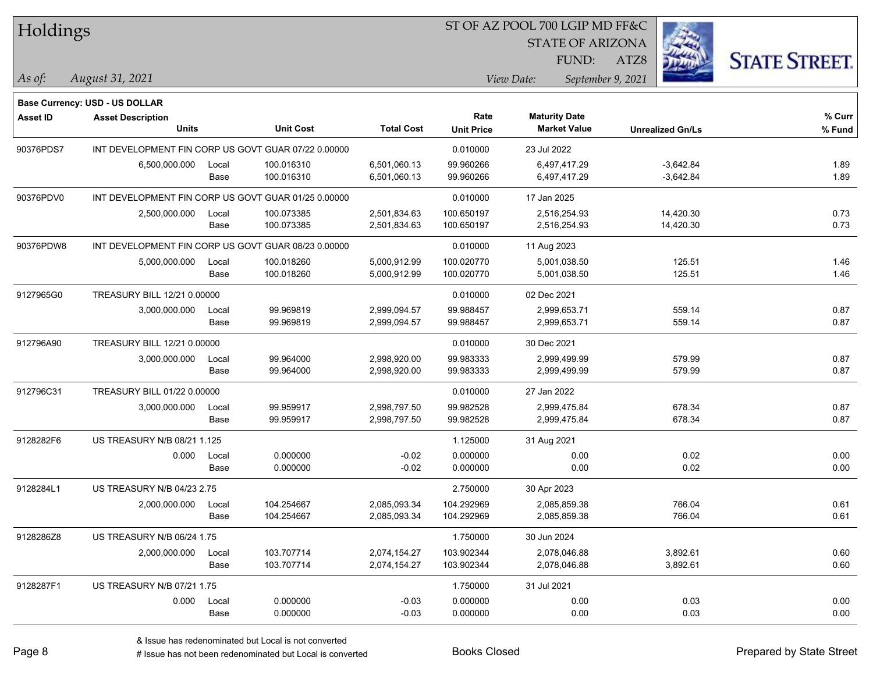|  |  | Holdings |
|--|--|----------|
|--|--|----------|

STATE OF ARIZONA

ATZ8



*August 31, 2021 As of: View Date: September 9, 2021*

**Base Currency: USD - US DOLLAR**

FUND:

| <b>Asset ID</b> | <b>Asset Description</b>                            |       |                  |                   | Rate              | <b>Maturity Date</b> |                         | % Curr |
|-----------------|-----------------------------------------------------|-------|------------------|-------------------|-------------------|----------------------|-------------------------|--------|
|                 | Units                                               |       | <b>Unit Cost</b> | <b>Total Cost</b> | <b>Unit Price</b> | <b>Market Value</b>  | <b>Unrealized Gn/Ls</b> | % Fund |
| 90376PDS7       | INT DEVELOPMENT FIN CORP US GOVT GUAR 07/22 0.00000 |       |                  |                   | 0.010000          | 23 Jul 2022          |                         |        |
|                 | 6,500,000.000                                       | Local | 100.016310       | 6,501,060.13      | 99.960266         | 6,497,417.29         | $-3,642.84$             | 1.89   |
|                 |                                                     | Base  | 100.016310       | 6,501,060.13      | 99.960266         | 6,497,417.29         | $-3,642.84$             | 1.89   |
| 90376PDV0       | INT DEVELOPMENT FIN CORP US GOVT GUAR 01/25 0.00000 |       |                  |                   | 0.010000          | 17 Jan 2025          |                         |        |
|                 | 2,500,000.000                                       | Local | 100.073385       | 2,501,834.63      | 100.650197        | 2,516,254.93         | 14,420.30               | 0.73   |
|                 |                                                     | Base  | 100.073385       | 2,501,834.63      | 100.650197        | 2,516,254.93         | 14,420.30               | 0.73   |
| 90376PDW8       | INT DEVELOPMENT FIN CORP US GOVT GUAR 08/23 0.00000 |       |                  |                   | 0.010000          | 11 Aug 2023          |                         |        |
|                 | 5,000,000.000                                       | Local | 100.018260       | 5,000,912.99      | 100.020770        | 5,001,038.50         | 125.51                  | 1.46   |
|                 |                                                     | Base  | 100.018260       | 5,000,912.99      | 100.020770        | 5,001,038.50         | 125.51                  | 1.46   |
| 9127965G0       | TREASURY BILL 12/21 0.00000                         |       |                  |                   | 0.010000          | 02 Dec 2021          |                         |        |
|                 | 3,000,000.000                                       | Local | 99.969819        | 2,999,094.57      | 99.988457         | 2,999,653.71         | 559.14                  | 0.87   |
|                 |                                                     | Base  | 99.969819        | 2,999,094.57      | 99.988457         | 2,999,653.71         | 559.14                  | 0.87   |
| 912796A90       | TREASURY BILL 12/21 0.00000                         |       |                  |                   | 0.010000          | 30 Dec 2021          |                         |        |
|                 | 3,000,000.000                                       | Local | 99.964000        | 2,998,920.00      | 99.983333         | 2,999,499.99         | 579.99                  | 0.87   |
|                 |                                                     | Base  | 99.964000        | 2,998,920.00      | 99.983333         | 2,999,499.99         | 579.99                  | 0.87   |
| 912796C31       | TREASURY BILL 01/22 0.00000                         |       |                  |                   | 0.010000          | 27 Jan 2022          |                         |        |
|                 | 3,000,000.000                                       | Local | 99.959917        | 2,998,797.50      | 99.982528         | 2,999,475.84         | 678.34                  | 0.87   |
|                 |                                                     | Base  | 99.959917        | 2,998,797.50      | 99.982528         | 2,999,475.84         | 678.34                  | 0.87   |
| 9128282F6       | US TREASURY N/B 08/21 1.125                         |       |                  |                   | 1.125000          | 31 Aug 2021          |                         |        |
|                 | 0.000                                               | Local | 0.000000         | $-0.02$           | 0.000000          | 0.00                 | 0.02                    | 0.00   |
|                 |                                                     | Base  | 0.000000         | $-0.02$           | 0.000000          | 0.00                 | 0.02                    | 0.00   |
| 9128284L1       | <b>US TREASURY N/B 04/23 2.75</b>                   |       |                  |                   | 2.750000          | 30 Apr 2023          |                         |        |
|                 | 2,000,000.000                                       | Local | 104.254667       | 2,085,093.34      | 104.292969        | 2,085,859.38         | 766.04                  | 0.61   |
|                 |                                                     | Base  | 104.254667       | 2,085,093.34      | 104.292969        | 2,085,859.38         | 766.04                  | 0.61   |
| 9128286Z8       | <b>US TREASURY N/B 06/24 1.75</b>                   |       |                  |                   | 1.750000          | 30 Jun 2024          |                         |        |
|                 | 2,000,000.000                                       | Local | 103.707714       | 2,074,154.27      | 103.902344        | 2,078,046.88         | 3,892.61                | 0.60   |
|                 |                                                     | Base  | 103.707714       | 2,074,154.27      | 103.902344        | 2,078,046.88         | 3,892.61                | 0.60   |
| 9128287F1       | US TREASURY N/B 07/21 1.75                          |       |                  |                   | 1.750000          | 31 Jul 2021          |                         |        |
|                 | 0.000                                               | Local | 0.000000         | $-0.03$           | 0.000000          | 0.00                 | 0.03                    | 0.00   |
|                 |                                                     | Base  | 0.000000         | $-0.03$           | 0.000000          | 0.00                 | 0.03                    | 0.00   |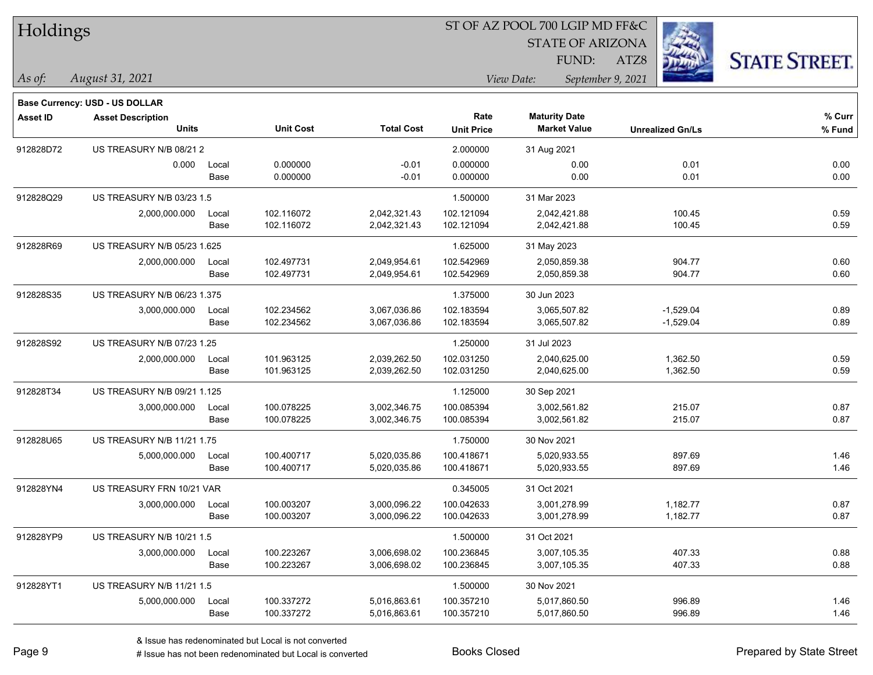| Holdings        |                                       |       |                  | ST OF AZ POOL 700 LGIP MD FF&C |                   |                                 |                         |                      |  |  |
|-----------------|---------------------------------------|-------|------------------|--------------------------------|-------------------|---------------------------------|-------------------------|----------------------|--|--|
|                 |                                       |       |                  |                                |                   | <b>STATE OF ARIZONA</b>         |                         |                      |  |  |
|                 |                                       |       |                  |                                |                   | <b>FUND:</b>                    | ATZ8                    | <b>STATE STREET.</b> |  |  |
| As of:          | August 31, 2021                       |       |                  |                                |                   | View Date:<br>September 9, 2021 |                         |                      |  |  |
|                 | <b>Base Currency: USD - US DOLLAR</b> |       |                  |                                |                   |                                 |                         |                      |  |  |
| <b>Asset ID</b> | <b>Asset Description</b>              |       |                  |                                | Rate              | <b>Maturity Date</b>            |                         | % Curr               |  |  |
|                 | <b>Units</b>                          |       | <b>Unit Cost</b> | <b>Total Cost</b>              | <b>Unit Price</b> | <b>Market Value</b>             | <b>Unrealized Gn/Ls</b> | % Fund               |  |  |
| 912828D72       | US TREASURY N/B 08/212                |       |                  |                                | 2.000000          | 31 Aug 2021                     |                         |                      |  |  |
|                 | 0.000                                 | Local | 0.000000         | $-0.01$                        | 0.000000          | 0.00                            | 0.01                    | 0.00                 |  |  |
|                 |                                       | Base  | 0.000000         | $-0.01$                        | 0.000000          | 0.00                            | 0.01                    | 0.00                 |  |  |
| 912828Q29       | US TREASURY N/B 03/23 1.5             |       |                  |                                | 1.500000          | 31 Mar 2023                     |                         |                      |  |  |
|                 | 2,000,000.000                         | Local | 102.116072       | 2,042,321.43                   | 102.121094        | 2,042,421.88                    | 100.45                  | 0.59                 |  |  |
|                 |                                       | Base  | 102.116072       | 2,042,321.43                   | 102.121094        | 2,042,421.88                    | 100.45                  | 0.59                 |  |  |
| 912828R69       | US TREASURY N/B 05/23 1.625           |       |                  |                                | 1.625000          | 31 May 2023                     |                         |                      |  |  |
|                 | 2,000,000.000                         | Local | 102.497731       | 2,049,954.61                   | 102.542969        | 2,050,859.38                    | 904.77                  | 0.60                 |  |  |
|                 |                                       | Base  | 102.497731       | 2,049,954.61                   | 102.542969        | 2,050,859.38                    | 904.77                  | 0.60                 |  |  |
| 912828S35       | US TREASURY N/B 06/23 1.375           |       |                  |                                | 1.375000          | 30 Jun 2023                     |                         |                      |  |  |
|                 | 3,000,000.000                         | Local | 102.234562       | 3,067,036.86                   | 102.183594        | 3,065,507.82                    | $-1,529.04$             | 0.89                 |  |  |
|                 |                                       | Base  | 102.234562       | 3,067,036.86                   | 102.183594        | 3,065,507.82                    | $-1,529.04$             | 0.89                 |  |  |
| 912828S92       | US TREASURY N/B 07/23 1.25            |       |                  |                                | 1.250000          | 31 Jul 2023                     |                         |                      |  |  |
|                 | 2,000,000.000                         | Local | 101.963125       | 2,039,262.50                   | 102.031250        | 2,040,625.00                    | 1,362.50                | 0.59                 |  |  |
|                 |                                       | Base  | 101.963125       | 2,039,262.50                   | 102.031250        | 2,040,625.00                    | 1,362.50                | 0.59                 |  |  |
| 912828T34       | US TREASURY N/B 09/21 1.125           |       |                  |                                | 1.125000          | 30 Sep 2021                     |                         |                      |  |  |
|                 | 3,000,000.000                         | Local | 100.078225       | 3,002,346.75                   | 100.085394        | 3,002,561.82                    | 215.07                  | 0.87                 |  |  |
|                 |                                       | Base  | 100.078225       | 3,002,346.75                   | 100.085394        | 3,002,561.82                    | 215.07                  | 0.87                 |  |  |
| 912828U65       | US TREASURY N/B 11/21 1.75            |       |                  |                                | 1.750000          | 30 Nov 2021                     |                         |                      |  |  |
|                 | 5,000,000.000                         | Local | 100.400717       | 5,020,035.86                   | 100.418671        | 5,020,933.55                    | 897.69                  | 1.46                 |  |  |
|                 |                                       | Base  | 100.400717       | 5,020,035.86                   | 100.418671        | 5,020,933.55                    | 897.69                  | 1.46                 |  |  |
| 912828YN4       | US TREASURY FRN 10/21 VAR             |       |                  |                                | 0.345005          | 31 Oct 2021                     |                         |                      |  |  |
|                 | 3,000,000.000                         | Local | 100.003207       | 3,000,096.22                   | 100.042633        | 3,001,278.99                    | 1,182.77                | 0.87                 |  |  |
|                 |                                       | Base  | 100.003207       | 3,000,096.22                   | 100.042633        | 3,001,278.99                    | 1,182.77                | 0.87                 |  |  |
| 912828YP9       | US TREASURY N/B 10/21 1.5             |       |                  |                                | 1.500000          | 31 Oct 2021                     |                         |                      |  |  |
|                 | 3,000,000.000                         | Local | 100.223267       | 3,006,698.02                   | 100.236845        | 3,007,105.35                    | 407.33                  | 0.88                 |  |  |
|                 |                                       | Base  | 100.223267       | 3,006,698.02                   | 100.236845        | 3,007,105.35                    | 407.33                  | 0.88                 |  |  |
| 912828YT1       | US TREASURY N/B 11/21 1.5             |       |                  |                                | 1.500000          | 30 Nov 2021                     |                         |                      |  |  |
|                 | 5,000,000.000                         | Local | 100.337272       | 5,016,863.61                   | 100.357210        | 5,017,860.50                    | 996.89                  | 1.46                 |  |  |
|                 |                                       | Base  | 100.337272       | 5,016,863.61                   | 100.357210        | 5,017,860.50                    | 996.89                  | 1.46                 |  |  |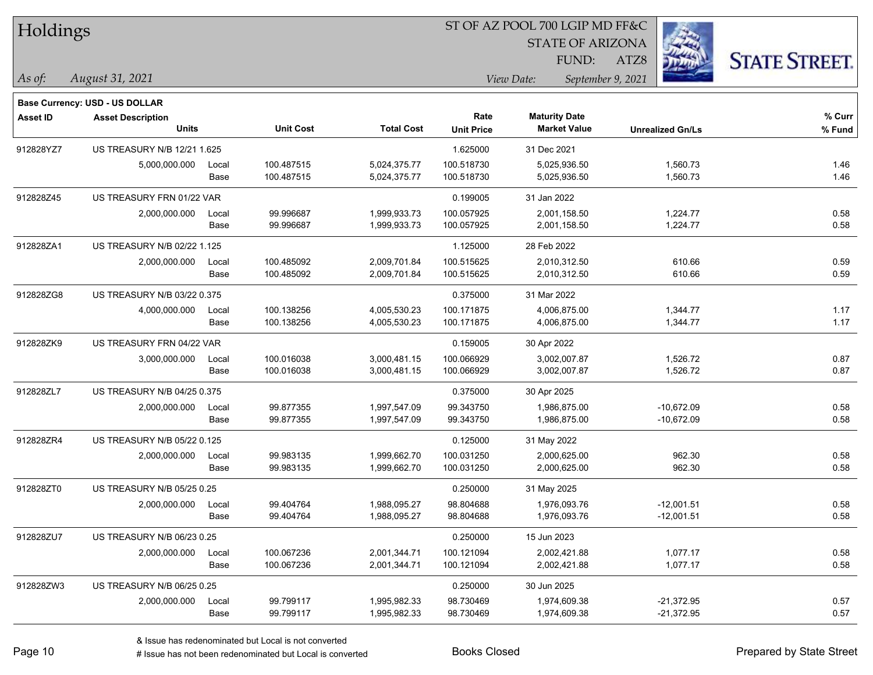| Holdings        |                                |       |                  |                   |                   | ST OF AZ POOL 700 LGIP MD FF&C  |                         |                      |
|-----------------|--------------------------------|-------|------------------|-------------------|-------------------|---------------------------------|-------------------------|----------------------|
|                 |                                |       |                  |                   |                   | <b>STATE OF ARIZONA</b>         |                         |                      |
|                 |                                |       |                  |                   |                   | FUND:                           | ATZ8                    | <b>STATE STREET.</b> |
| As of:          | August 31, 2021                |       |                  |                   |                   | View Date:<br>September 9, 2021 |                         |                      |
|                 | Base Currency: USD - US DOLLAR |       |                  |                   |                   |                                 |                         |                      |
| <b>Asset ID</b> | <b>Asset Description</b>       |       |                  |                   | Rate              | <b>Maturity Date</b>            |                         | % Curr               |
|                 | <b>Units</b>                   |       | <b>Unit Cost</b> | <b>Total Cost</b> | <b>Unit Price</b> | <b>Market Value</b>             | <b>Unrealized Gn/Ls</b> | % Fund               |
| 912828YZ7       | US TREASURY N/B 12/21 1.625    |       |                  |                   | 1.625000          | 31 Dec 2021                     |                         |                      |
|                 | 5,000,000.000                  | Local | 100.487515       | 5,024,375.77      | 100.518730        | 5,025,936.50                    | 1,560.73                | 1.46                 |
|                 |                                | Base  | 100.487515       | 5,024,375.77      | 100.518730        | 5,025,936.50                    | 1,560.73                | 1.46                 |
| 912828Z45       | US TREASURY FRN 01/22 VAR      |       |                  |                   | 0.199005          | 31 Jan 2022                     |                         |                      |
|                 | 2,000,000.000                  | Local | 99.996687        | 1,999,933.73      | 100.057925        | 2,001,158.50                    | 1,224.77                | 0.58                 |
|                 |                                | Base  | 99.996687        | 1,999,933.73      | 100.057925        | 2,001,158.50                    | 1,224.77                | 0.58                 |
| 912828ZA1       | US TREASURY N/B 02/22 1.125    |       |                  |                   | 1.125000          | 28 Feb 2022                     |                         |                      |
|                 | 2,000,000.000                  | Local | 100.485092       | 2,009,701.84      | 100.515625        | 2,010,312.50                    | 610.66                  | 0.59                 |
|                 |                                | Base  | 100.485092       | 2,009,701.84      | 100.515625        | 2,010,312.50                    | 610.66                  | 0.59                 |
| 912828ZG8       | US TREASURY N/B 03/22 0.375    |       |                  |                   | 0.375000          | 31 Mar 2022                     |                         |                      |
|                 | 4,000,000.000                  | Local | 100.138256       | 4,005,530.23      | 100.171875        | 4,006,875.00                    | 1,344.77                | 1.17                 |
|                 |                                | Base  | 100.138256       | 4,005,530.23      | 100.171875        | 4,006,875.00                    | 1,344.77                | 1.17                 |
| 912828ZK9       | US TREASURY FRN 04/22 VAR      |       |                  |                   | 0.159005          | 30 Apr 2022                     |                         |                      |
|                 | 3,000,000.000                  | Local | 100.016038       | 3,000,481.15      | 100.066929        | 3,002,007.87                    | 1,526.72                | 0.87                 |
|                 |                                | Base  | 100.016038       | 3,000,481.15      | 100.066929        | 3,002,007.87                    | 1,526.72                | 0.87                 |
| 912828ZL7       | US TREASURY N/B 04/25 0.375    |       |                  |                   | 0.375000          | 30 Apr 2025                     |                         |                      |
|                 | 2,000,000.000                  | Local | 99.877355        | 1,997,547.09      | 99.343750         | 1,986,875.00                    | $-10,672.09$            | 0.58                 |
|                 |                                | Base  | 99.877355        | 1,997,547.09      | 99.343750         | 1,986,875.00                    | $-10,672.09$            | 0.58                 |
| 912828ZR4       | US TREASURY N/B 05/22 0.125    |       |                  |                   | 0.125000          | 31 May 2022                     |                         |                      |
|                 | 2,000,000.000                  | Local | 99.983135        | 1,999,662.70      | 100.031250        | 2,000,625.00                    | 962.30                  | 0.58                 |
|                 |                                | Base  | 99.983135        | 1,999,662.70      | 100.031250        | 2,000,625.00                    | 962.30                  | 0.58                 |
| 912828ZT0       | US TREASURY N/B 05/25 0.25     |       |                  |                   | 0.250000          | 31 May 2025                     |                         |                      |
|                 | 2,000,000.000                  | Local | 99.404764        | 1,988,095.27      | 98.804688         | 1,976,093.76                    | $-12,001.51$            | 0.58                 |
|                 |                                | Base  | 99.404764        | 1,988,095.27      | 98.804688         | 1,976,093.76                    | $-12,001.51$            | 0.58                 |
| 912828ZU7       | US TREASURY N/B 06/23 0.25     |       |                  |                   | 0.250000          | 15 Jun 2023                     |                         |                      |
|                 | 2,000,000.000                  | Local | 100.067236       | 2,001,344.71      | 100.121094        | 2,002,421.88                    | 1,077.17                | 0.58                 |
|                 |                                | Base  | 100.067236       | 2,001,344.71      | 100.121094        | 2,002,421.88                    | 1,077.17                | 0.58                 |
| 912828ZW3       | US TREASURY N/B 06/25 0.25     |       |                  |                   | 0.250000          | 30 Jun 2025                     |                         |                      |
|                 | 2,000,000.000                  | Local | 99.799117        | 1,995,982.33      | 98.730469         | 1,974,609.38                    | $-21,372.95$            | 0.57                 |
|                 |                                | Base  | 99.799117        | 1,995,982.33      | 98.730469         | 1,974,609.38                    | $-21,372.95$            | 0.57                 |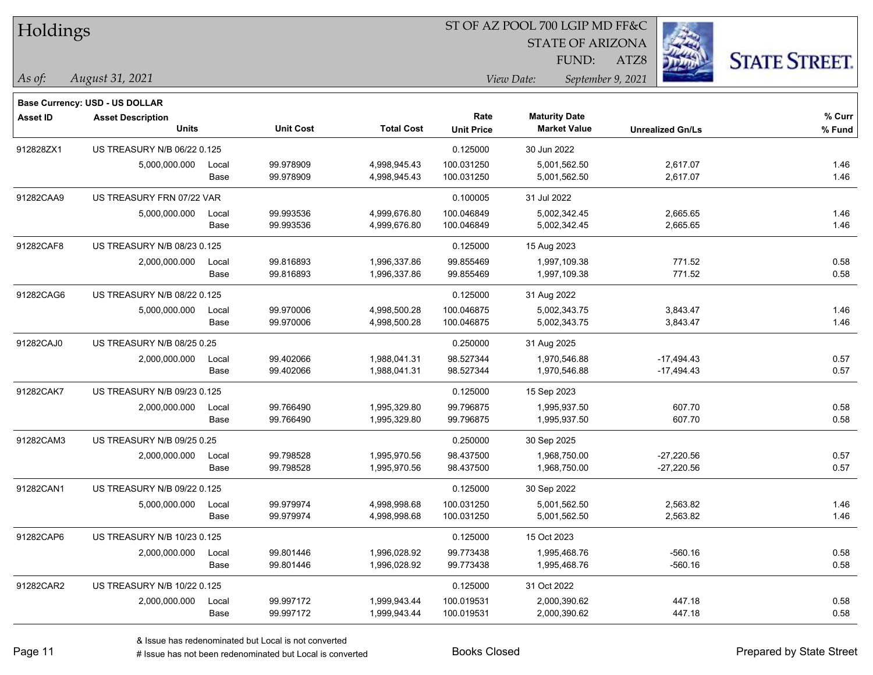|                 | Holdings                       |       |                  |                   |                   | ST OF AZ POOL 700 LGIP MD FF&C |                         |                      |
|-----------------|--------------------------------|-------|------------------|-------------------|-------------------|--------------------------------|-------------------------|----------------------|
|                 |                                |       |                  |                   |                   | <b>STATE OF ARIZONA</b>        |                         |                      |
|                 |                                |       |                  |                   |                   | FUND:                          | ATZ8                    | <b>STATE STREET.</b> |
| $\vert$ As of:  | August 31, 2021                |       |                  |                   |                   | View Date:                     | September 9, 2021       |                      |
|                 | Base Currency: USD - US DOLLAR |       |                  |                   |                   |                                |                         |                      |
| <b>Asset ID</b> | <b>Asset Description</b>       |       |                  |                   | Rate              | <b>Maturity Date</b>           |                         | % Curr               |
|                 | <b>Units</b>                   |       | <b>Unit Cost</b> | <b>Total Cost</b> | <b>Unit Price</b> | <b>Market Value</b>            | <b>Unrealized Gn/Ls</b> | % Fund               |
| 912828ZX1       | US TREASURY N/B 06/22 0.125    |       |                  |                   | 0.125000          | 30 Jun 2022                    |                         |                      |
|                 | 5,000,000.000                  | Local | 99.978909        | 4,998,945.43      | 100.031250        | 5,001,562.50                   | 2,617.07                | 1.46                 |
|                 |                                | Base  | 99.978909        | 4,998,945.43      | 100.031250        | 5,001,562.50                   | 2,617.07                | 1.46                 |
| 91282CAA9       | US TREASURY FRN 07/22 VAR      |       |                  |                   | 0.100005          | 31 Jul 2022                    |                         |                      |
|                 | 5,000,000.000                  | Local | 99.993536        | 4,999,676.80      | 100.046849        | 5,002,342.45                   | 2,665.65                | 1.46                 |
|                 |                                | Base  | 99.993536        | 4,999,676.80      | 100.046849        | 5,002,342.45                   | 2,665.65                | 1.46                 |
| 91282CAF8       | US TREASURY N/B 08/23 0.125    |       |                  |                   | 0.125000          | 15 Aug 2023                    |                         |                      |
|                 | 2,000,000.000                  | Local | 99.816893        | 1,996,337.86      | 99.855469         | 1,997,109.38                   | 771.52                  | 0.58                 |
|                 |                                | Base  | 99.816893        | 1,996,337.86      | 99.855469         | 1,997,109.38                   | 771.52                  | 0.58                 |
| 91282CAG6       | US TREASURY N/B 08/22 0.125    |       |                  |                   | 0.125000          | 31 Aug 2022                    |                         |                      |
|                 | 5,000,000.000                  | Local | 99.970006        | 4,998,500.28      | 100.046875        | 5,002,343.75                   | 3,843.47                | 1.46                 |
|                 |                                | Base  | 99.970006        | 4,998,500.28      | 100.046875        | 5,002,343.75                   | 3,843.47                | 1.46                 |
| 91282CAJ0       | US TREASURY N/B 08/25 0.25     |       |                  |                   | 0.250000          | 31 Aug 2025                    |                         |                      |
|                 | 2,000,000.000                  | Local | 99.402066        | 1,988,041.31      | 98.527344         | 1,970,546.88                   | $-17,494.43$            | 0.57                 |
|                 |                                | Base  | 99.402066        | 1,988,041.31      | 98.527344         | 1,970,546.88                   | $-17,494.43$            | 0.57                 |
| 91282CAK7       | US TREASURY N/B 09/23 0.125    |       |                  |                   | 0.125000          | 15 Sep 2023                    |                         |                      |
|                 | 2,000,000.000                  | Local | 99.766490        | 1,995,329.80      | 99.796875         | 1,995,937.50                   | 607.70                  | 0.58                 |
|                 |                                | Base  | 99.766490        | 1,995,329.80      | 99.796875         | 1,995,937.50                   | 607.70                  | 0.58                 |
| 91282CAM3       | US TREASURY N/B 09/25 0.25     |       |                  |                   | 0.250000          | 30 Sep 2025                    |                         |                      |
|                 | 2,000,000.000                  | Local | 99.798528        | 1,995,970.56      | 98.437500         | 1,968,750.00                   | $-27,220.56$            | 0.57                 |
|                 |                                | Base  | 99.798528        | 1,995,970.56      | 98.437500         | 1,968,750.00                   | $-27,220.56$            | 0.57                 |
| 91282CAN1       | US TREASURY N/B 09/22 0.125    |       |                  |                   | 0.125000          | 30 Sep 2022                    |                         |                      |
|                 | 5,000,000.000                  | Local | 99.979974        | 4,998,998.68      | 100.031250        | 5,001,562.50                   | 2,563.82                | 1.46                 |
|                 |                                | Base  | 99.979974        | 4,998,998.68      | 100.031250        | 5,001,562.50                   | 2,563.82                | 1.46                 |
| 91282CAP6       | US TREASURY N/B 10/23 0.125    |       |                  |                   | 0.125000          | 15 Oct 2023                    |                         |                      |
|                 | 2,000,000.000                  | Local | 99.801446        | 1,996,028.92      | 99.773438         | 1,995,468.76                   | $-560.16$               | 0.58                 |
|                 |                                | Base  | 99.801446        | 1,996,028.92      | 99.773438         | 1,995,468.76                   | $-560.16$               | 0.58                 |
| 91282CAR2       | US TREASURY N/B 10/22 0.125    |       |                  |                   | 0.125000          | 31 Oct 2022                    |                         |                      |
|                 | 2,000,000.000                  | Local | 99.997172        | 1,999,943.44      | 100.019531        | 2,000,390.62                   | 447.18                  | 0.58                 |
|                 |                                | Base  | 99.997172        | 1,999,943.44      | 100.019531        | 2,000,390.62                   | 447.18                  | 0.58                 |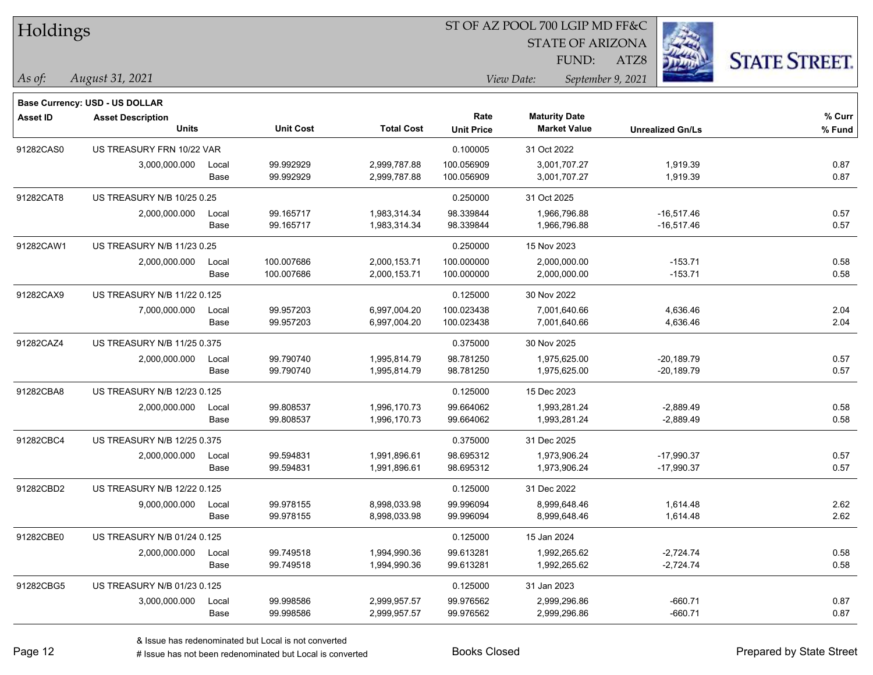| Holdings        |                                          |       |                  |                   | ST OF AZ POOL 700 LGIP MD FF&C |                                             |                         |                      |  |  |
|-----------------|------------------------------------------|-------|------------------|-------------------|--------------------------------|---------------------------------------------|-------------------------|----------------------|--|--|
|                 |                                          |       |                  |                   |                                | <b>STATE OF ARIZONA</b>                     |                         |                      |  |  |
|                 |                                          |       |                  |                   |                                | FUND:                                       | ATZ8                    | <b>STATE STREET.</b> |  |  |
| As of:          | August 31, 2021                          |       |                  |                   |                                | View Date:<br>September 9, 2021             |                         |                      |  |  |
|                 |                                          |       |                  |                   |                                |                                             |                         |                      |  |  |
|                 | <b>Base Currency: USD - US DOLLAR</b>    |       |                  |                   | Rate                           |                                             |                         | % Curr               |  |  |
| <b>Asset ID</b> | <b>Asset Description</b><br><b>Units</b> |       | <b>Unit Cost</b> | <b>Total Cost</b> | <b>Unit Price</b>              | <b>Maturity Date</b><br><b>Market Value</b> | <b>Unrealized Gn/Ls</b> | % Fund               |  |  |
| 91282CAS0       | US TREASURY FRN 10/22 VAR                |       |                  |                   | 0.100005                       | 31 Oct 2022                                 |                         |                      |  |  |
|                 | 3,000,000.000                            | Local | 99.992929        | 2,999,787.88      | 100.056909                     | 3,001,707.27                                | 1,919.39                | 0.87                 |  |  |
|                 |                                          | Base  | 99.992929        | 2,999,787.88      | 100.056909                     | 3,001,707.27                                | 1,919.39                | 0.87                 |  |  |
| 91282CAT8       | US TREASURY N/B 10/25 0.25               |       |                  |                   | 0.250000                       | 31 Oct 2025                                 |                         |                      |  |  |
|                 | 2,000,000.000                            | Local | 99.165717        | 1,983,314.34      | 98.339844                      | 1,966,796.88                                | $-16,517.46$            | 0.57                 |  |  |
|                 |                                          | Base  | 99.165717        | 1,983,314.34      | 98.339844                      | 1,966,796.88                                | $-16,517.46$            | 0.57                 |  |  |
| 91282CAW1       | US TREASURY N/B 11/23 0.25               |       |                  |                   | 0.250000                       | 15 Nov 2023                                 |                         |                      |  |  |
|                 | 2,000,000.000                            | Local | 100.007686       | 2,000,153.71      | 100.000000                     | 2,000,000.00                                | $-153.71$               | 0.58                 |  |  |
|                 |                                          | Base  | 100.007686       | 2,000,153.71      | 100.000000                     | 2,000,000.00                                | $-153.71$               | 0.58                 |  |  |
| 91282CAX9       | US TREASURY N/B 11/22 0.125              |       |                  |                   | 0.125000                       | 30 Nov 2022                                 |                         |                      |  |  |
|                 | 7,000,000.000                            | Local | 99.957203        | 6,997,004.20      | 100.023438                     | 7,001,640.66                                | 4,636.46                | 2.04                 |  |  |
|                 |                                          | Base  | 99.957203        | 6,997,004.20      | 100.023438                     | 7,001,640.66                                | 4,636.46                | 2.04                 |  |  |
| 91282CAZ4       | US TREASURY N/B 11/25 0.375              |       |                  |                   | 0.375000                       | 30 Nov 2025                                 |                         |                      |  |  |
|                 | 2,000,000.000                            | Local | 99.790740        | 1,995,814.79      | 98.781250                      | 1,975,625.00                                | $-20,189.79$            | 0.57                 |  |  |
|                 |                                          | Base  | 99.790740        | 1,995,814.79      | 98.781250                      | 1,975,625.00                                | $-20,189.79$            | 0.57                 |  |  |
| 91282CBA8       | US TREASURY N/B 12/23 0.125              |       |                  |                   | 0.125000                       | 15 Dec 2023                                 |                         |                      |  |  |
|                 | 2,000,000.000                            | Local | 99.808537        | 1,996,170.73      | 99.664062                      | 1,993,281.24                                | $-2,889.49$             | 0.58                 |  |  |
|                 |                                          | Base  | 99.808537        | 1,996,170.73      | 99.664062                      | 1,993,281.24                                | $-2,889.49$             | 0.58                 |  |  |
| 91282CBC4       | US TREASURY N/B 12/25 0.375              |       |                  |                   | 0.375000                       | 31 Dec 2025                                 |                         |                      |  |  |
|                 | 2,000,000.000                            | Local | 99.594831        | 1,991,896.61      | 98.695312                      | 1,973,906.24                                | $-17,990.37$            | 0.57                 |  |  |
|                 |                                          | Base  | 99.594831        | 1,991,896.61      | 98.695312                      | 1,973,906.24                                | $-17,990.37$            | 0.57                 |  |  |
| 91282CBD2       | US TREASURY N/B 12/22 0.125              |       |                  |                   | 0.125000                       | 31 Dec 2022                                 |                         |                      |  |  |
|                 | 9,000,000.000                            | Local | 99.978155        | 8,998,033.98      | 99.996094                      | 8,999,648.46                                | 1,614.48                | 2.62                 |  |  |
|                 |                                          | Base  | 99.978155        | 8,998,033.98      | 99.996094                      | 8,999,648.46                                | 1,614.48                | 2.62                 |  |  |
| 91282CBE0       | US TREASURY N/B 01/24 0.125              |       |                  |                   | 0.125000                       | 15 Jan 2024                                 |                         |                      |  |  |
|                 | 2,000,000.000                            | Local | 99.749518        | 1,994,990.36      | 99.613281                      | 1,992,265.62                                | $-2,724.74$             | 0.58                 |  |  |
|                 |                                          | Base  | 99.749518        | 1,994,990.36      | 99.613281                      | 1,992,265.62                                | $-2,724.74$             | 0.58                 |  |  |
| 91282CBG5       | US TREASURY N/B 01/23 0.125              |       |                  |                   | 0.125000                       | 31 Jan 2023                                 |                         |                      |  |  |
|                 | 3,000,000.000                            | Local | 99.998586        | 2,999,957.57      | 99.976562                      | 2,999,296.86                                | $-660.71$               | 0.87                 |  |  |
|                 |                                          | Base  | 99.998586        | 2,999,957.57      | 99.976562                      | 2,999,296.86                                | $-660.71$               | 0.87                 |  |  |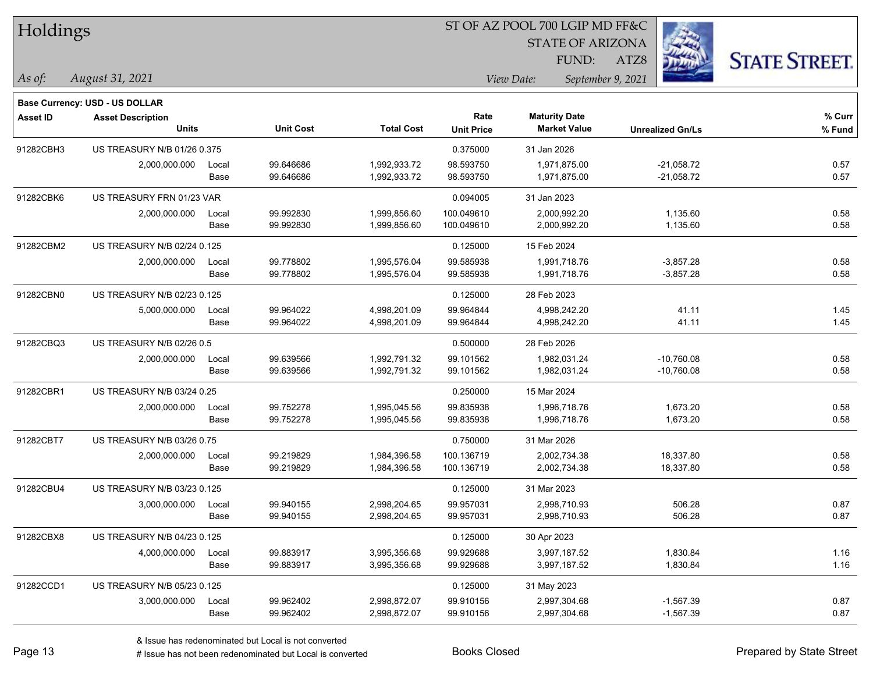### ST OF AZ POOL 700 LGIP MD FF&C

STATE OF ARIZONA

ATZ8



*August 31, 2021 As of: View Date: September 9, 2021* FUND:

|                 | Base Currency: USD - US DOLLAR    |       |                  |                   |                   |                      |                         |        |
|-----------------|-----------------------------------|-------|------------------|-------------------|-------------------|----------------------|-------------------------|--------|
| <b>Asset ID</b> | <b>Asset Description</b>          |       |                  |                   | Rate              | <b>Maturity Date</b> |                         | % Curr |
|                 | <b>Units</b>                      |       | <b>Unit Cost</b> | <b>Total Cost</b> | <b>Unit Price</b> | <b>Market Value</b>  | <b>Unrealized Gn/Ls</b> | % Fund |
| 91282CBH3       | US TREASURY N/B 01/26 0.375       |       |                  |                   | 0.375000          | 31 Jan 2026          |                         |        |
|                 | 2,000,000.000                     | Local | 99.646686        | 1,992,933.72      | 98.593750         | 1,971,875.00         | $-21,058.72$            | 0.57   |
|                 |                                   | Base  | 99.646686        | 1,992,933.72      | 98.593750         | 1,971,875.00         | $-21,058.72$            | 0.57   |
| 91282CBK6       | US TREASURY FRN 01/23 VAR         |       |                  |                   | 0.094005          | 31 Jan 2023          |                         |        |
|                 | 2,000,000.000                     | Local | 99.992830        | 1,999,856.60      | 100.049610        | 2,000,992.20         | 1,135.60                | 0.58   |
|                 |                                   | Base  | 99.992830        | 1,999,856.60      | 100.049610        | 2,000,992.20         | 1,135.60                | 0.58   |
| 91282CBM2       | US TREASURY N/B 02/24 0.125       |       |                  |                   | 0.125000          | 15 Feb 2024          |                         |        |
|                 | 2,000,000.000                     | Local | 99.778802        | 1,995,576.04      | 99.585938         | 1,991,718.76         | $-3,857.28$             | 0.58   |
|                 |                                   | Base  | 99.778802        | 1,995,576.04      | 99.585938         | 1,991,718.76         | $-3,857.28$             | 0.58   |
| 91282CBN0       | US TREASURY N/B 02/23 0.125       |       |                  |                   | 0.125000          | 28 Feb 2023          |                         |        |
|                 | 5,000,000.000                     | Local | 99.964022        | 4,998,201.09      | 99.964844         | 4,998,242.20         | 41.11                   | 1.45   |
|                 |                                   | Base  | 99.964022        | 4,998,201.09      | 99.964844         | 4,998,242.20         | 41.11                   | 1.45   |
| 91282CBQ3       | US TREASURY N/B 02/26 0.5         |       |                  |                   | 0.500000          | 28 Feb 2026          |                         |        |
|                 | 2,000,000.000                     | Local | 99.639566        | 1,992,791.32      | 99.101562         | 1,982,031.24         | -10,760.08              | 0.58   |
|                 |                                   | Base  | 99.639566        | 1,992,791.32      | 99.101562         | 1,982,031.24         | $-10,760.08$            | 0.58   |
| 91282CBR1       | <b>US TREASURY N/B 03/24 0.25</b> |       |                  |                   | 0.250000          | 15 Mar 2024          |                         |        |
|                 | 2,000,000.000                     | Local | 99.752278        | 1,995,045.56      | 99.835938         | 1,996,718.76         | 1,673.20                | 0.58   |
|                 |                                   | Base  | 99.752278        | 1,995,045.56      | 99.835938         | 1,996,718.76         | 1,673.20                | 0.58   |
| 91282CBT7       | <b>US TREASURY N/B 03/26 0.75</b> |       |                  |                   | 0.750000          | 31 Mar 2026          |                         |        |
|                 | 2,000,000.000                     | Local | 99.219829        | 1,984,396.58      | 100.136719        | 2,002,734.38         | 18,337.80               | 0.58   |
|                 |                                   | Base  | 99.219829        | 1,984,396.58      | 100.136719        | 2,002,734.38         | 18,337.80               | 0.58   |
| 91282CBU4       | US TREASURY N/B 03/23 0.125       |       |                  |                   | 0.125000          | 31 Mar 2023          |                         |        |
|                 | 3,000,000.000                     | Local | 99.940155        | 2,998,204.65      | 99.957031         | 2,998,710.93         | 506.28                  | 0.87   |
|                 |                                   | Base  | 99.940155        | 2,998,204.65      | 99.957031         | 2,998,710.93         | 506.28                  | 0.87   |
| 91282CBX8       | US TREASURY N/B 04/23 0.125       |       |                  |                   | 0.125000          | 30 Apr 2023          |                         |        |
|                 | 4,000,000.000                     | Local | 99.883917        | 3,995,356.68      | 99.929688         | 3,997,187.52         | 1,830.84                | 1.16   |
|                 |                                   | Base  | 99.883917        | 3,995,356.68      | 99.929688         | 3,997,187.52         | 1,830.84                | 1.16   |
| 91282CCD1       | US TREASURY N/B 05/23 0.125       |       |                  |                   | 0.125000          | 31 May 2023          |                         |        |
|                 | 3,000,000.000                     | Local | 99.962402        | 2,998,872.07      | 99.910156         | 2,997,304.68         | $-1,567.39$             | 0.87   |
|                 |                                   | Base  | 99.962402        | 2,998,872.07      | 99.910156         | 2,997,304.68         | $-1,567.39$             | 0.87   |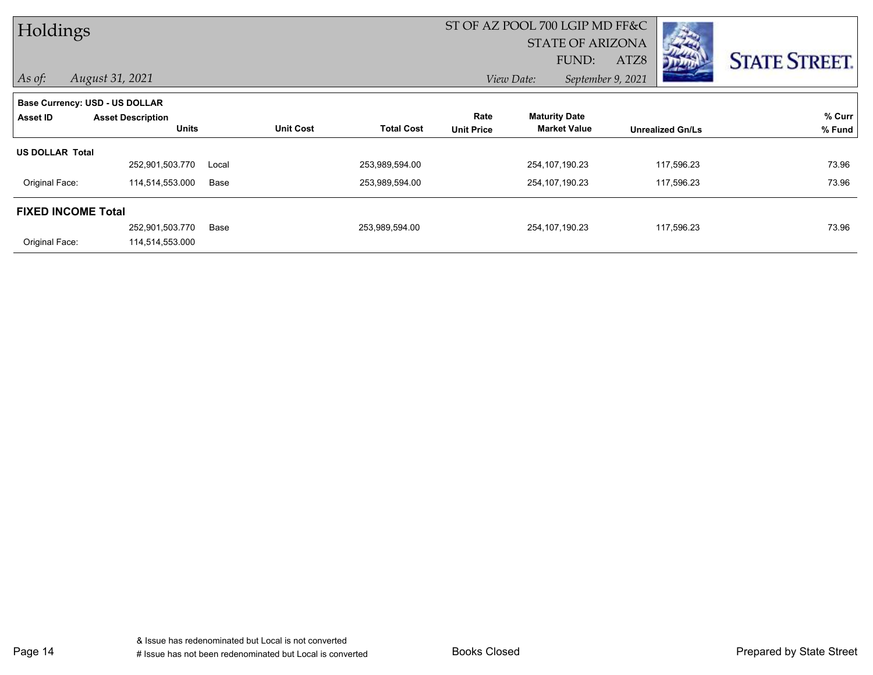| Holdings                  |                                |       |                  |                   |                   | ST OF AZ POOL 700 LGIP MD FF&C |                         |                      |
|---------------------------|--------------------------------|-------|------------------|-------------------|-------------------|--------------------------------|-------------------------|----------------------|
|                           |                                |       |                  |                   |                   | <b>STATE OF ARIZONA</b>        | <b>CONTRACTOR</b>       |                      |
|                           |                                |       |                  |                   |                   | FUND:                          | ATZ8<br><b>DE ALL</b>   | <b>STATE STREET.</b> |
| $\vert$ As of:            | August 31, 2021                |       |                  |                   |                   | View Date:                     | September 9, 2021       |                      |
|                           | Base Currency: USD - US DOLLAR |       |                  |                   |                   |                                |                         |                      |
| Asset ID                  | <b>Asset Description</b>       |       |                  |                   | Rate              | <b>Maturity Date</b>           |                         | % Curr               |
|                           | <b>Units</b>                   |       | <b>Unit Cost</b> | <b>Total Cost</b> | <b>Unit Price</b> | <b>Market Value</b>            | <b>Unrealized Gn/Ls</b> | % Fund               |
| <b>US DOLLAR Total</b>    |                                |       |                  |                   |                   |                                |                         |                      |
|                           | 252,901,503.770                | Local |                  | 253,989,594.00    |                   | 254, 107, 190. 23              | 117,596.23              | 73.96                |
| Original Face:            | 114,514,553.000                | Base  |                  | 253,989,594.00    |                   | 254, 107, 190. 23              | 117,596.23              | 73.96                |
| <b>FIXED INCOME Total</b> |                                |       |                  |                   |                   |                                |                         |                      |
|                           | 252,901,503.770                | Base  |                  | 253,989,594.00    |                   | 254,107,190.23                 | 117,596.23              | 73.96                |
| Original Face:            | 114,514,553.000                |       |                  |                   |                   |                                |                         |                      |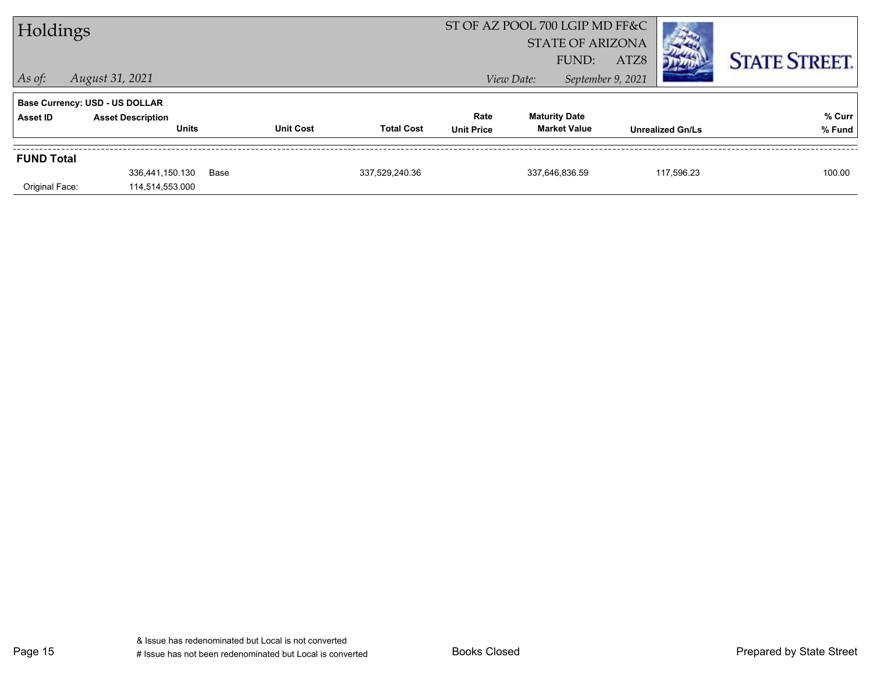| Holdings          |                                          |      |                  | ST OF AZ POOL 700 LGIP MD FF&C<br><b>STATE OF ARIZONA</b> |                           |            |                                             |                   |                         |                      |
|-------------------|------------------------------------------|------|------------------|-----------------------------------------------------------|---------------------------|------------|---------------------------------------------|-------------------|-------------------------|----------------------|
|                   |                                          |      |                  |                                                           |                           |            | FUND:                                       | ATZ8              |                         | <b>STATE STREET.</b> |
| $\vert$ As of:    | August 31, 2021                          |      |                  |                                                           |                           | View Date: |                                             | September 9, 2021 |                         |                      |
|                   | <b>Base Currency: USD - US DOLLAR</b>    |      |                  |                                                           |                           |            |                                             |                   |                         |                      |
| <b>Asset ID</b>   | <b>Asset Description</b><br><b>Units</b> |      | <b>Unit Cost</b> | <b>Total Cost</b>                                         | Rate<br><b>Unit Price</b> |            | <b>Maturity Date</b><br><b>Market Value</b> |                   | <b>Unrealized Gn/Ls</b> | % Curr<br>% Fund     |
| <b>FUND Total</b> |                                          |      |                  |                                                           |                           |            |                                             |                   |                         |                      |
|                   | 336,441,150.130                          | Base |                  | 337,529,240.36                                            |                           |            | 337,646,836.59                              |                   | 117,596.23              | 100.00               |
| Original Face:    | 114,514,553.000                          |      |                  |                                                           |                           |            |                                             |                   |                         |                      |

Page 15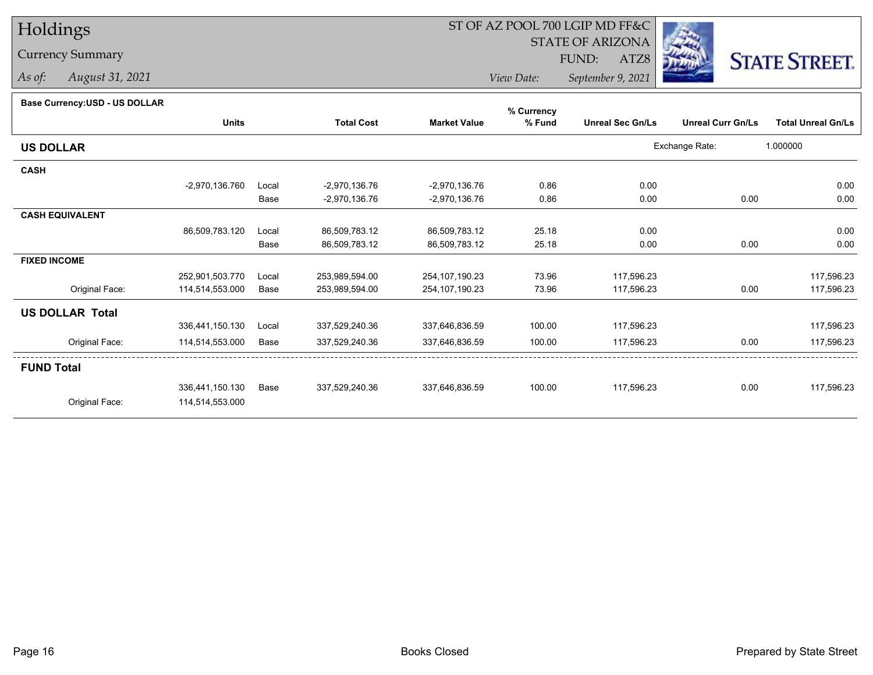## Currency Summary

*As of: August 31, 2021*

# ST OF AZ POOL 700 LGIP MD FF&C

STATE OF ARIZONA

ATZ8



*View Date: September 9, 2021*FUND:

#### **Base Currency:USD - US DOLLAR**

|                        |                  |       |                   |                     | % Currency |                         |                          |                           |
|------------------------|------------------|-------|-------------------|---------------------|------------|-------------------------|--------------------------|---------------------------|
|                        | <b>Units</b>     |       | <b>Total Cost</b> | <b>Market Value</b> | % Fund     | <b>Unreal Sec Gn/Ls</b> | <b>Unreal Curr Gn/Ls</b> | <b>Total Unreal Gn/Ls</b> |
| <b>US DOLLAR</b>       |                  |       |                   |                     |            |                         | Exchange Rate:           | 1.000000                  |
| <b>CASH</b>            |                  |       |                   |                     |            |                         |                          |                           |
|                        | $-2,970,136.760$ | Local | $-2,970,136.76$   | -2,970,136.76       | 0.86       | 0.00                    |                          | 0.00                      |
|                        |                  | Base  | -2,970,136.76     | $-2,970,136.76$     | 0.86       | 0.00                    | 0.00                     | 0.00                      |
| <b>CASH EQUIVALENT</b> |                  |       |                   |                     |            |                         |                          |                           |
|                        | 86,509,783.120   | Local | 86,509,783.12     | 86,509,783.12       | 25.18      | 0.00                    |                          | 0.00                      |
|                        |                  | Base  | 86,509,783.12     | 86,509,783.12       | 25.18      | 0.00                    | 0.00                     | 0.00                      |
| <b>FIXED INCOME</b>    |                  |       |                   |                     |            |                         |                          |                           |
|                        | 252,901,503.770  | Local | 253,989,594.00    | 254,107,190.23      | 73.96      | 117,596.23              |                          | 117,596.23                |
| Original Face:         | 114,514,553.000  | Base  | 253,989,594.00    | 254, 107, 190. 23   | 73.96      | 117,596.23              | 0.00                     | 117,596.23                |
| <b>US DOLLAR Total</b> |                  |       |                   |                     |            |                         |                          |                           |
|                        | 336,441,150.130  | Local | 337,529,240.36    | 337,646,836.59      | 100.00     | 117,596.23              |                          | 117,596.23                |
| Original Face:         | 114,514,553.000  | Base  | 337,529,240.36    | 337,646,836.59      | 100.00     | 117,596.23              | 0.00                     | 117,596.23                |
| <b>FUND Total</b>      |                  |       |                   |                     |            |                         |                          |                           |
|                        | 336,441,150.130  | Base  | 337,529,240.36    | 337,646,836.59      | 100.00     | 117,596.23              | 0.00                     | 117,596.23                |
| Original Face:         | 114,514,553.000  |       |                   |                     |            |                         |                          |                           |
|                        |                  |       |                   |                     |            |                         |                          |                           |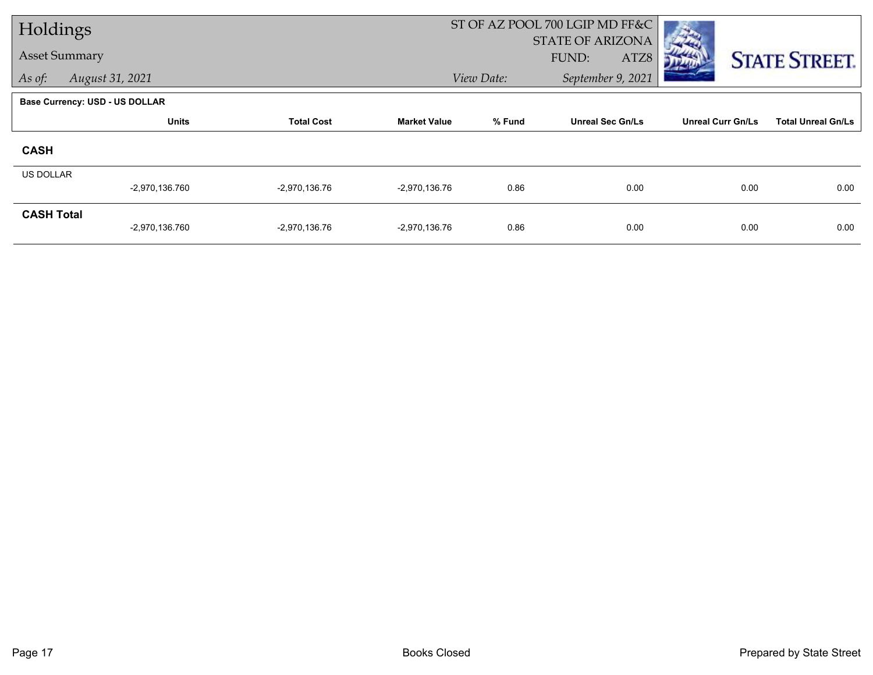| Holdings             |                                       |                   |                     |            | ST OF AZ POOL 700 LGIP MD FF&C           |                          |                           |
|----------------------|---------------------------------------|-------------------|---------------------|------------|------------------------------------------|--------------------------|---------------------------|
| <b>Asset Summary</b> |                                       |                   |                     |            | <b>STATE OF ARIZONA</b><br>FUND:<br>ATZ8 |                          |                           |
| As of:               | August 31, 2021                       |                   |                     | View Date: | September 9, 2021                        |                          | <b>STATE STREET.</b>      |
|                      |                                       |                   |                     |            |                                          |                          |                           |
|                      | <b>Base Currency: USD - US DOLLAR</b> |                   |                     |            |                                          |                          |                           |
|                      | <b>Units</b>                          | <b>Total Cost</b> | <b>Market Value</b> | % Fund     | <b>Unreal Sec Gn/Ls</b>                  | <b>Unreal Curr Gn/Ls</b> | <b>Total Unreal Gn/Ls</b> |
| <b>CASH</b>          |                                       |                   |                     |            |                                          |                          |                           |
| <b>US DOLLAR</b>     |                                       |                   |                     |            |                                          |                          |                           |
|                      | -2,970,136.760                        | $-2,970,136.76$   | $-2,970,136.76$     | 0.86       | 0.00                                     | 0.00                     | 0.00                      |
| <b>CASH Total</b>    |                                       |                   |                     |            |                                          |                          |                           |
|                      | -2,970,136.760                        | $-2,970,136.76$   | $-2,970,136.76$     | 0.86       | 0.00                                     | 0.00                     | 0.00                      |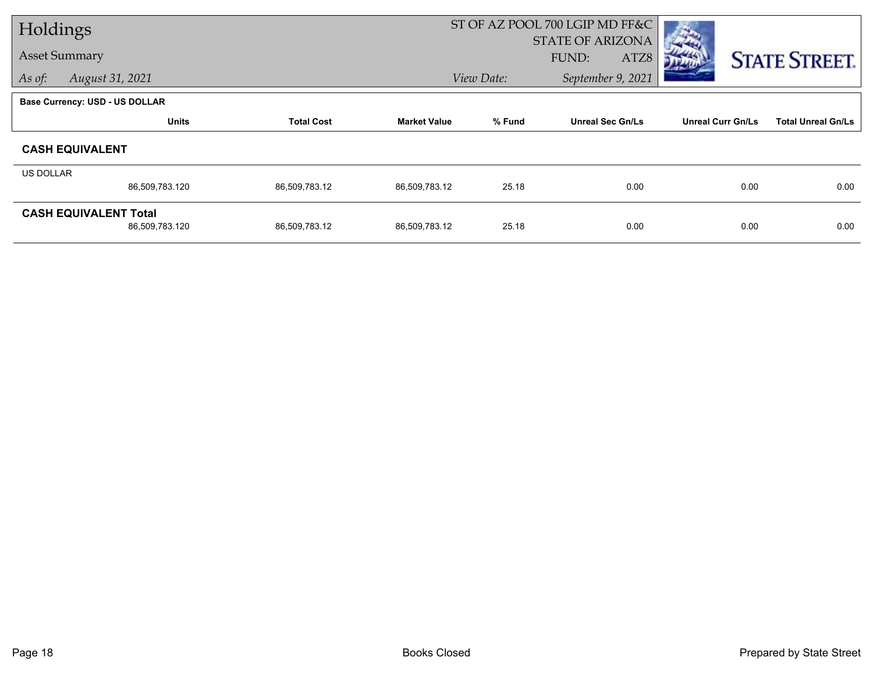| Holdings  |                                       |                   |                     | ST OF AZ POOL 700 LGIP MD FF&C |                         |                          |                           |
|-----------|---------------------------------------|-------------------|---------------------|--------------------------------|-------------------------|--------------------------|---------------------------|
|           | <b>Asset Summary</b>                  |                   |                     |                                | <b>STATE OF ARIZONA</b> |                          |                           |
|           |                                       |                   |                     |                                | FUND:<br>ATZ8           |                          | <b>STATE STREET.</b>      |
| As of:    | August 31, 2021                       |                   |                     | View Date:                     | September 9, 2021       |                          |                           |
|           | <b>Base Currency: USD - US DOLLAR</b> |                   |                     |                                |                         |                          |                           |
|           | <b>Units</b>                          | <b>Total Cost</b> | <b>Market Value</b> | % Fund                         | <b>Unreal Sec Gn/Ls</b> | <b>Unreal Curr Gn/Ls</b> | <b>Total Unreal Gn/Ls</b> |
|           | <b>CASH EQUIVALENT</b>                |                   |                     |                                |                         |                          |                           |
| US DOLLAR |                                       |                   |                     |                                |                         |                          |                           |
|           | 86,509,783.120                        | 86,509,783.12     | 86,509,783.12       | 25.18                          | 0.00                    | 0.00                     | 0.00                      |
|           | <b>CASH EQUIVALENT Total</b>          |                   |                     |                                |                         |                          |                           |
|           | 86,509,783.120                        | 86,509,783.12     | 86,509,783.12       | 25.18                          | 0.00                    | 0.00                     | 0.00                      |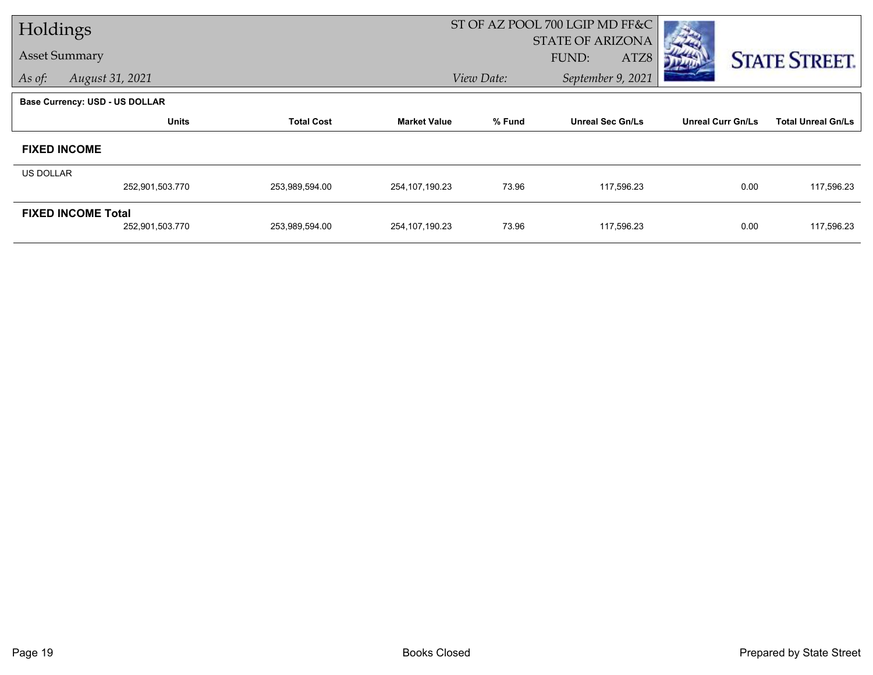| Holdings         |                                       |                   |                     |            | ST OF AZ POOL 700 LGIP MD FF&C |                          |                           |
|------------------|---------------------------------------|-------------------|---------------------|------------|--------------------------------|--------------------------|---------------------------|
|                  |                                       |                   |                     |            | <b>STATE OF ARIZONA</b>        |                          |                           |
|                  | <b>Asset Summary</b>                  |                   |                     |            | FUND:<br>ATZ8                  |                          | <b>STATE STREET.</b>      |
| As of:           | August 31, 2021                       |                   |                     | View Date: | September 9, 2021              |                          |                           |
|                  | <b>Base Currency: USD - US DOLLAR</b> |                   |                     |            |                                |                          |                           |
|                  | <b>Units</b>                          | <b>Total Cost</b> | <b>Market Value</b> | % Fund     | <b>Unreal Sec Gn/Ls</b>        | <b>Unreal Curr Gn/Ls</b> | <b>Total Unreal Gn/Ls</b> |
|                  | <b>FIXED INCOME</b>                   |                   |                     |            |                                |                          |                           |
| <b>US DOLLAR</b> |                                       |                   |                     |            |                                |                          |                           |
|                  | 252,901,503.770                       | 253,989,594.00    | 254,107,190.23      | 73.96      | 117,596.23                     | 0.00                     | 117,596.23                |
|                  | <b>FIXED INCOME Total</b>             |                   |                     |            |                                |                          |                           |
|                  | 252,901,503.770                       | 253,989,594.00    | 254,107,190.23      | 73.96      | 117,596.23                     | 0.00                     | 117,596.23                |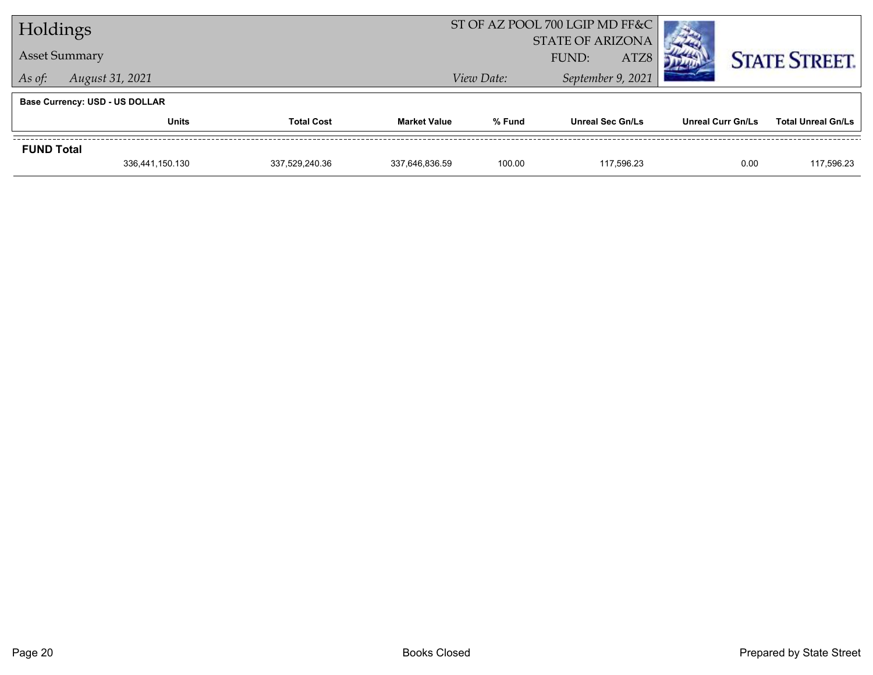| Holdings          |                                       |                   |                     |            | ST OF AZ POOL 700 LGIP MD FF&C |                   |                           |
|-------------------|---------------------------------------|-------------------|---------------------|------------|--------------------------------|-------------------|---------------------------|
|                   |                                       |                   |                     |            | <b>STATE OF ARIZONA</b>        |                   |                           |
|                   | <b>Asset Summary</b>                  |                   |                     |            | ATZ8<br>FUND:                  |                   | <b>STATE STREET.</b>      |
| As of:            | August 31, 2021                       |                   |                     | View Date: | September 9, 2021              |                   |                           |
|                   | <b>Base Currency: USD - US DOLLAR</b> |                   |                     |            |                                |                   |                           |
|                   | <b>Units</b>                          | <b>Total Cost</b> | <b>Market Value</b> | % Fund     | <b>Unreal Sec Gn/Ls</b>        | Unreal Curr Gn/Ls | <b>Total Unreal Gn/Ls</b> |
| <b>FUND Total</b> |                                       |                   |                     |            |                                |                   |                           |
|                   | 336,441,150.130                       | 337.529.240.36    | 337.646.836.59      | 100.00     | 117.596.23                     | 0.00              | 117,596.23                |